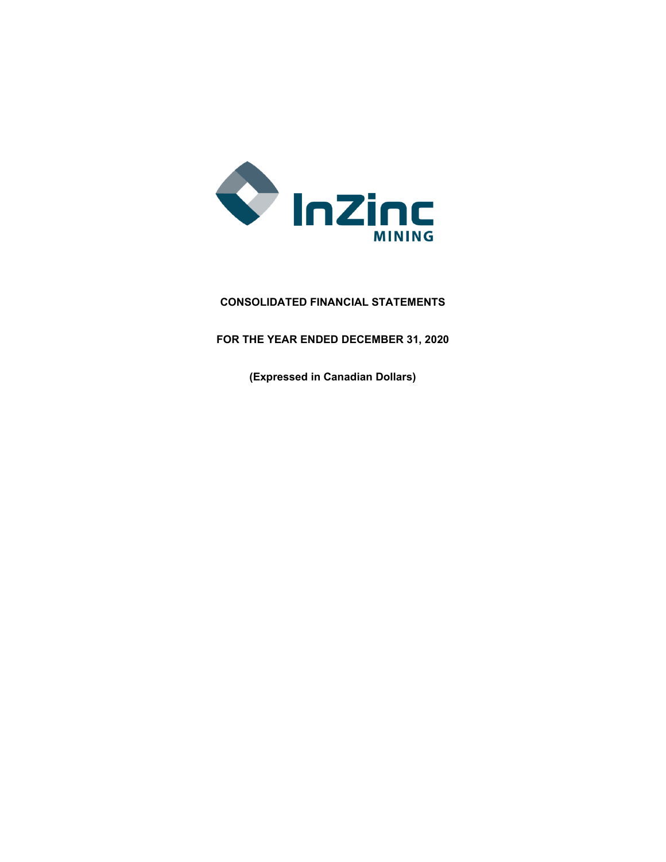

## **CONSOLIDATED FINANCIAL STATEMENTS**

**FOR THE YEAR ENDED DECEMBER 31, 2020**

**(Expressed in Canadian Dollars)**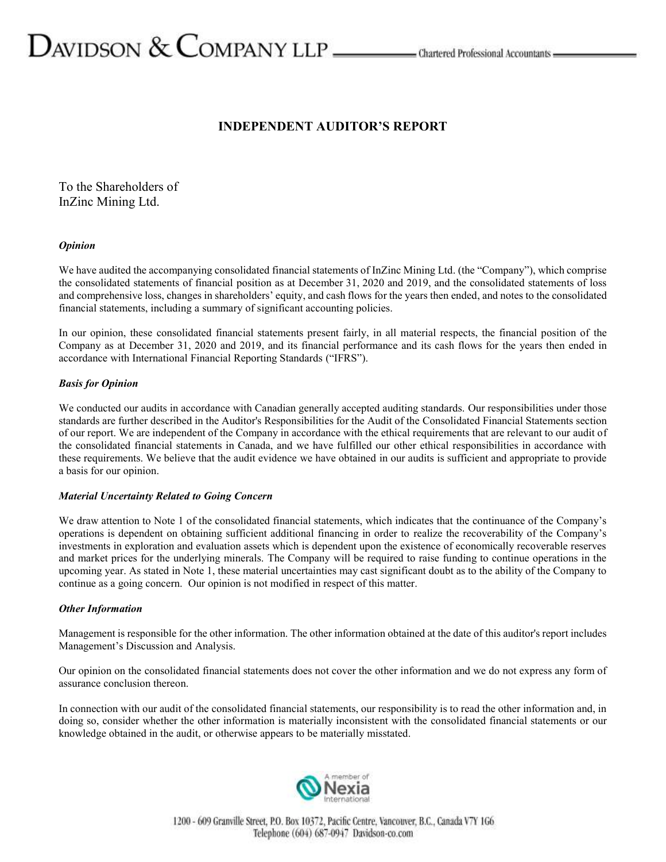# $D$ AVIDSON  $\&$  COMPANY LLP  $\_\_\_\_\$ Chartered Professional Accountants  $\_\_\$

# **INDEPENDENT AUDITOR'S REPORT**

To the Shareholders of InZinc Mining Ltd.

#### *Opinion*

We have audited the accompanying consolidated financial statements of InZinc Mining Ltd. (the "Company"), which comprise the consolidated statements of financial position as at December 31, 2020 and 2019, and the consolidated statements of loss and comprehensive loss, changes in shareholders' equity, and cash flows for the years then ended, and notes to the consolidated financial statements, including a summary of significant accounting policies.

In our opinion, these consolidated financial statements present fairly, in all material respects, the financial position of the Company as at December 31, 2020 and 2019, and its financial performance and its cash flows for the years then ended in accordance with International Financial Reporting Standards ("IFRS").

#### *Basis for Opinion*

We conducted our audits in accordance with Canadian generally accepted auditing standards. Our responsibilities under those standards are further described in the Auditor's Responsibilities for the Audit of the Consolidated Financial Statements section of our report. We are independent of the Company in accordance with the ethical requirements that are relevant to our audit of the consolidated financial statements in Canada, and we have fulfilled our other ethical responsibilities in accordance with these requirements. We believe that the audit evidence we have obtained in our audits is sufficient and appropriate to provide a basis for our opinion.

#### *Material Uncertainty Related to Going Concern*

We draw attention to Note 1 of the consolidated financial statements, which indicates that the continuance of the Company's operations is dependent on obtaining sufficient additional financing in order to realize the recoverability of the Company's investments in exploration and evaluation assets which is dependent upon the existence of economically recoverable reserves and market prices for the underlying minerals. The Company will be required to raise funding to continue operations in the upcoming year. As stated in Note 1, these material uncertainties may cast significant doubt as to the ability of the Company to continue as a going concern. Our opinion is not modified in respect of this matter.

#### *Other Information*

Management is responsible for the other information. The other information obtained at the date of this auditor's report includes Management's Discussion and Analysis.

Our opinion on the consolidated financial statements does not cover the other information and we do not express any form of assurance conclusion thereon.

In connection with our audit of the consolidated financial statements, our responsibility is to read the other information and, in doing so, consider whether the other information is materially inconsistent with the consolidated financial statements or our knowledge obtained in the audit, or otherwise appears to be materially misstated.

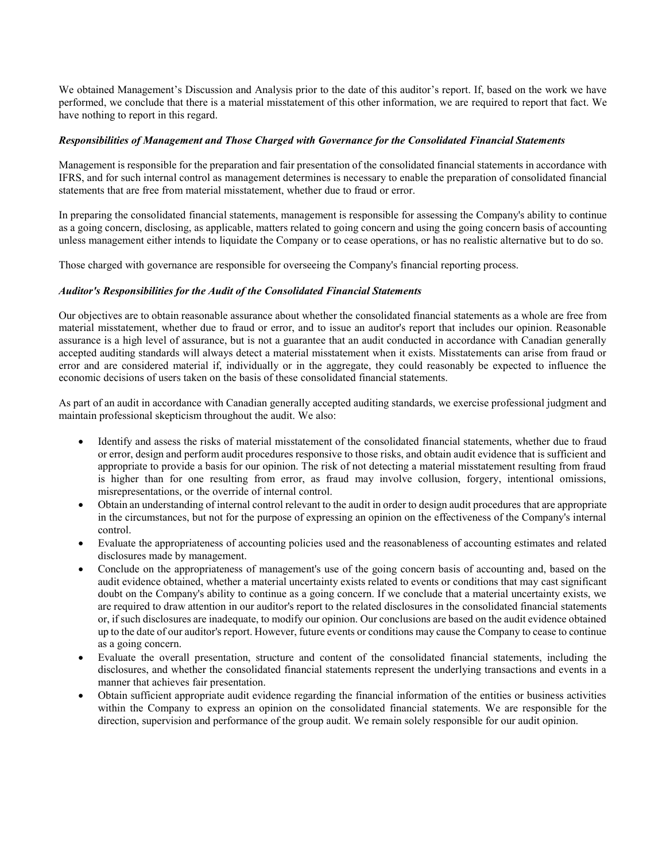We obtained Management's Discussion and Analysis prior to the date of this auditor's report. If, based on the work we have performed, we conclude that there is a material misstatement of this other information, we are required to report that fact. We have nothing to report in this regard.

#### *Responsibilities of Management and Those Charged with Governance for the Consolidated Financial Statements*

Management is responsible for the preparation and fair presentation of the consolidated financial statements in accordance with IFRS, and for such internal control as management determines is necessary to enable the preparation of consolidated financial statements that are free from material misstatement, whether due to fraud or error.

In preparing the consolidated financial statements, management is responsible for assessing the Company's ability to continue as a going concern, disclosing, as applicable, matters related to going concern and using the going concern basis of accounting unless management either intends to liquidate the Company or to cease operations, or has no realistic alternative but to do so.

Those charged with governance are responsible for overseeing the Company's financial reporting process.

#### *Auditor's Responsibilities for the Audit of the Consolidated Financial Statements*

Our objectives are to obtain reasonable assurance about whether the consolidated financial statements as a whole are free from material misstatement, whether due to fraud or error, and to issue an auditor's report that includes our opinion. Reasonable assurance is a high level of assurance, but is not a guarantee that an audit conducted in accordance with Canadian generally accepted auditing standards will always detect a material misstatement when it exists. Misstatements can arise from fraud or error and are considered material if, individually or in the aggregate, they could reasonably be expected to influence the economic decisions of users taken on the basis of these consolidated financial statements.

As part of an audit in accordance with Canadian generally accepted auditing standards, we exercise professional judgment and maintain professional skepticism throughout the audit. We also:

- Identify and assess the risks of material misstatement of the consolidated financial statements, whether due to fraud or error, design and perform audit procedures responsive to those risks, and obtain audit evidence that is sufficient and appropriate to provide a basis for our opinion. The risk of not detecting a material misstatement resulting from fraud is higher than for one resulting from error, as fraud may involve collusion, forgery, intentional omissions, misrepresentations, or the override of internal control.
- Obtain an understanding of internal control relevant to the audit in order to design audit procedures that are appropriate in the circumstances, but not for the purpose of expressing an opinion on the effectiveness of the Company's internal control.
- Evaluate the appropriateness of accounting policies used and the reasonableness of accounting estimates and related disclosures made by management.
- Conclude on the appropriateness of management's use of the going concern basis of accounting and, based on the audit evidence obtained, whether a material uncertainty exists related to events or conditions that may cast significant doubt on the Company's ability to continue as a going concern. If we conclude that a material uncertainty exists, we are required to draw attention in our auditor's report to the related disclosures in the consolidated financial statements or, if such disclosures are inadequate, to modify our opinion. Our conclusions are based on the audit evidence obtained up to the date of our auditor's report. However, future events or conditions may cause the Company to cease to continue as a going concern.
- Evaluate the overall presentation, structure and content of the consolidated financial statements, including the disclosures, and whether the consolidated financial statements represent the underlying transactions and events in a manner that achieves fair presentation.
- Obtain sufficient appropriate audit evidence regarding the financial information of the entities or business activities within the Company to express an opinion on the consolidated financial statements. We are responsible for the direction, supervision and performance of the group audit. We remain solely responsible for our audit opinion.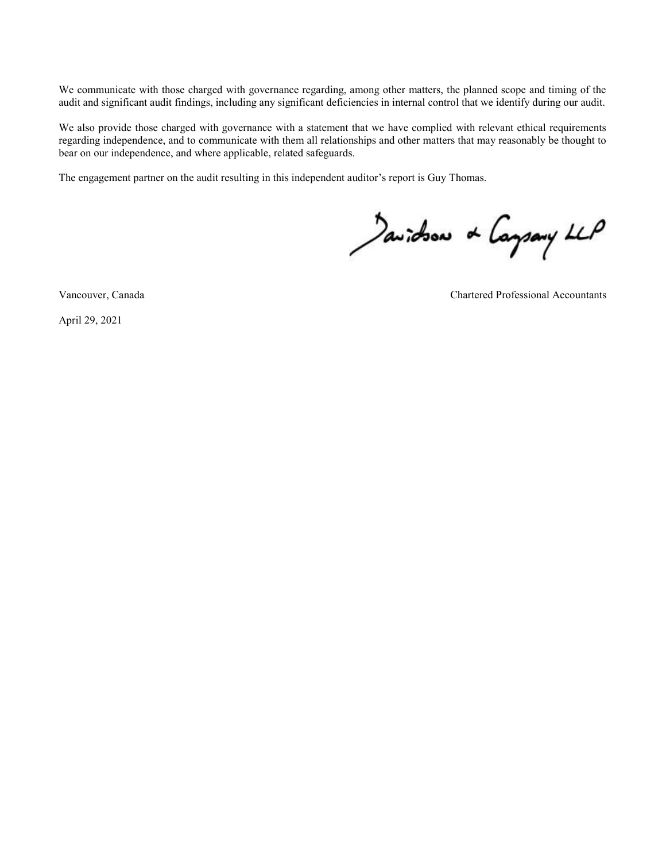We communicate with those charged with governance regarding, among other matters, the planned scope and timing of the audit and significant audit findings, including any significant deficiencies in internal control that we identify during our audit.

We also provide those charged with governance with a statement that we have complied with relevant ethical requirements regarding independence, and to communicate with them all relationships and other matters that may reasonably be thought to bear on our independence, and where applicable, related safeguards.

The engagement partner on the audit resulting in this independent auditor's report is Guy Thomas.

Javidson & Caysary LLP

April 29, 2021

Vancouver, Canada Chartered Professional Accountants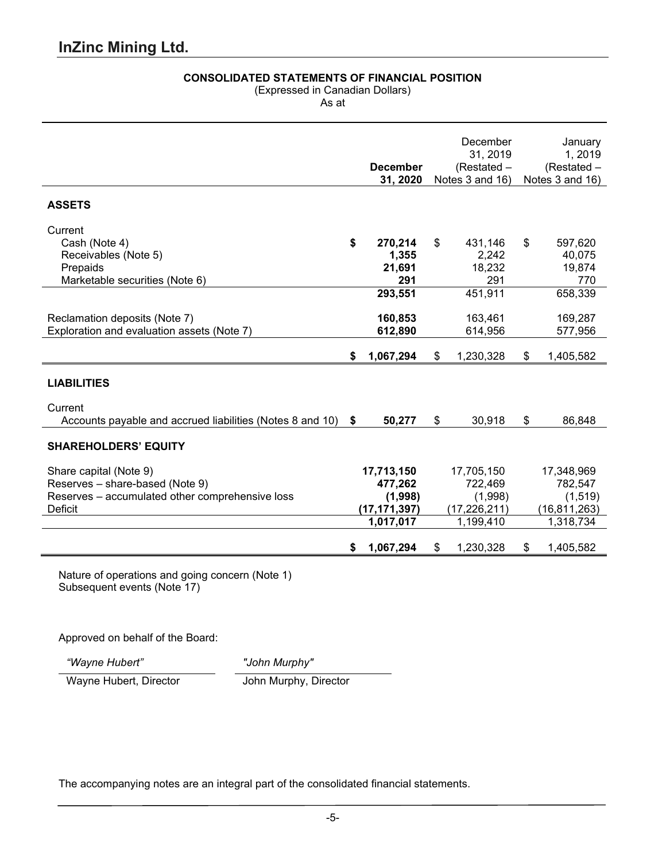## **CONSOLIDATED STATEMENTS OF FINANCIAL POSITION**

(Expressed in Canadian Dollars)

As at

|                                                                                |    | <b>December</b><br>31, 2020 | December<br>31, 2019<br>(Restated –<br>Notes 3 and 16) | January<br>1, 2019<br>(Restated –<br>Notes 3 and 16) |
|--------------------------------------------------------------------------------|----|-----------------------------|--------------------------------------------------------|------------------------------------------------------|
| <b>ASSETS</b>                                                                  |    |                             |                                                        |                                                      |
| Current                                                                        |    |                             |                                                        |                                                      |
| Cash (Note 4)                                                                  | \$ | 270,214                     | \$<br>431,146                                          | \$<br>597,620                                        |
| Receivables (Note 5)                                                           |    | 1,355                       | 2,242                                                  | 40,075                                               |
| Prepaids                                                                       |    | 21,691                      | 18,232                                                 | 19,874                                               |
| Marketable securities (Note 6)                                                 |    | 291                         | 291                                                    | 770                                                  |
|                                                                                |    | 293,551                     | 451,911                                                | 658,339                                              |
| Reclamation deposits (Note 7)                                                  |    | 160,853                     | 163,461                                                | 169,287                                              |
| Exploration and evaluation assets (Note 7)                                     |    | 612,890                     | 614,956                                                | 577,956                                              |
|                                                                                | S. | 1,067,294                   | \$<br>1,230,328                                        | \$<br>1,405,582                                      |
| <b>LIABILITIES</b>                                                             |    |                             |                                                        |                                                      |
| Current                                                                        |    |                             |                                                        |                                                      |
| Accounts payable and accrued liabilities (Notes 8 and 10)                      | \$ | 50,277                      | \$<br>30,918                                           | \$<br>86,848                                         |
| <b>SHAREHOLDERS' EQUITY</b>                                                    |    |                             |                                                        |                                                      |
| Share capital (Note 9)                                                         |    | 17,713,150                  | 17,705,150                                             | 17,348,969                                           |
| Reserves - share-based (Note 9)                                                |    | 477,262                     | 722,469                                                | 782,547                                              |
| Reserves - accumulated other comprehensive loss                                |    | (1,998)                     | (1,998)                                                | (1,519)                                              |
| Deficit                                                                        |    | (17, 171, 397)              | (17, 226, 211)                                         | (16, 811, 263)                                       |
|                                                                                |    | 1,017,017                   | 1,199,410                                              | 1,318,734                                            |
|                                                                                | \$ | 1,067,294                   | \$<br>1,230,328                                        | \$<br>1,405,582                                      |
| Nature of operations and going concern (Note 1)<br>Subsequent events (Note 17) |    |                             |                                                        |                                                      |

Approved on behalf of the Board:

*"Wayne Hubert" "John Murphy"*

Wayne Hubert, Director John Murphy, Director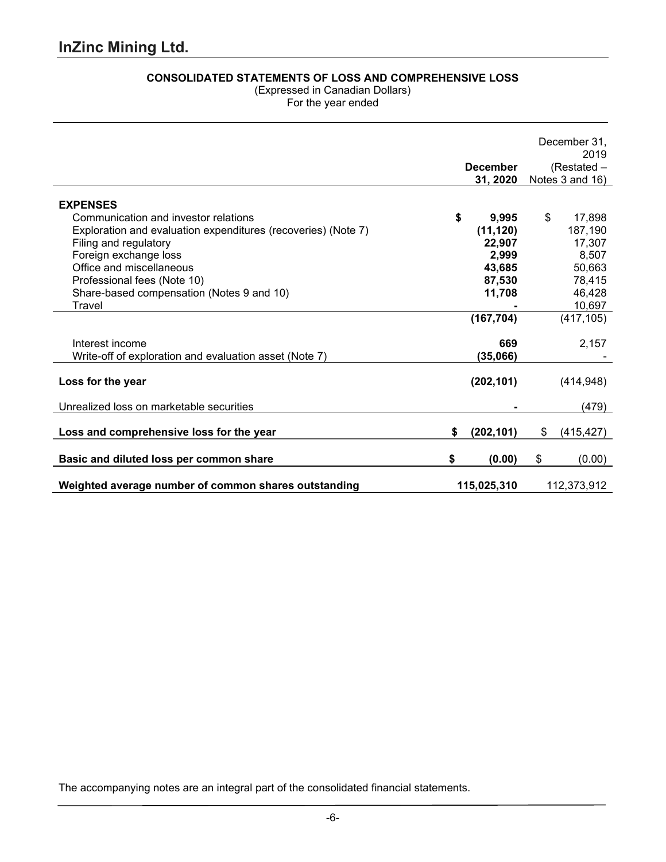# **CONSOLIDATED STATEMENTS OF LOSS AND COMPREHENSIVE LOSS**

(Expressed in Canadian Dollars)

For the year ended

|                                                               | <b>December</b><br>31, 2020 | December 31,<br>2019<br>(Restated -<br>Notes 3 and 16) |
|---------------------------------------------------------------|-----------------------------|--------------------------------------------------------|
| <b>EXPENSES</b>                                               |                             |                                                        |
| Communication and investor relations                          | \$<br>9,995                 | \$<br>17,898                                           |
| Exploration and evaluation expenditures (recoveries) (Note 7) | (11, 120)                   | 187,190                                                |
| Filing and regulatory                                         | 22,907                      | 17,307                                                 |
| Foreign exchange loss                                         | 2,999                       | 8,507                                                  |
| Office and miscellaneous                                      | 43,685                      | 50,663                                                 |
| Professional fees (Note 10)                                   | 87,530                      | 78,415                                                 |
| Share-based compensation (Notes 9 and 10)                     | 11,708                      | 46,428                                                 |
| Travel                                                        |                             | 10,697                                                 |
|                                                               | (167, 704)                  | (417, 105)                                             |
| Interest income                                               | 669                         | 2,157                                                  |
| Write-off of exploration and evaluation asset (Note 7)        | (35,066)                    |                                                        |
| Loss for the year                                             | (202, 101)                  | (414, 948)                                             |
| Unrealized loss on marketable securities                      |                             | (479)                                                  |
| Loss and comprehensive loss for the year                      | \$<br>(202, 101)            | \$<br>(415, 427)                                       |
| Basic and diluted loss per common share                       | \$<br>(0.00)                | \$<br>(0.00)                                           |
| Weighted average number of common shares outstanding          | 115,025,310                 | 112,373,912                                            |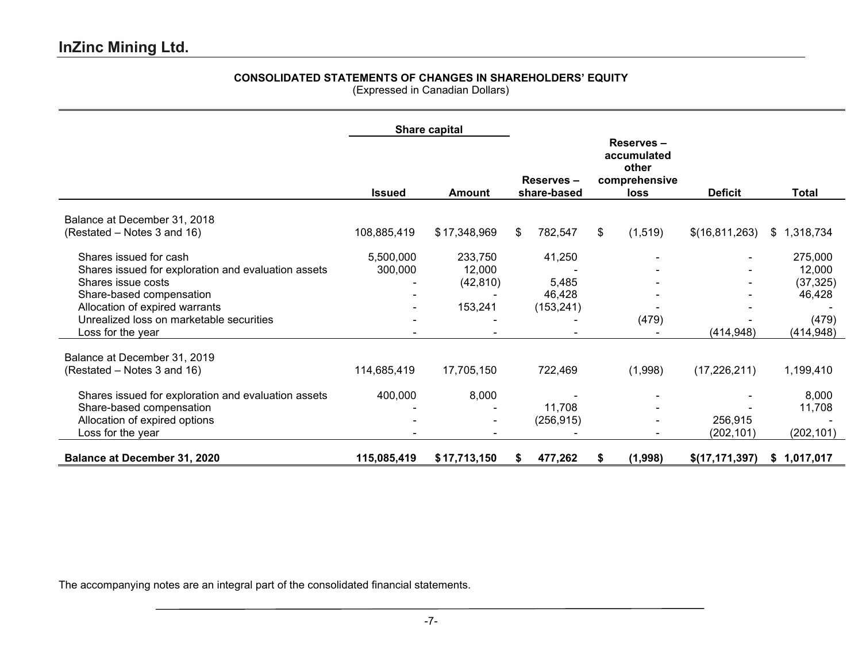## **CONSOLIDATED STATEMENTS OF CHANGES IN SHAREHOLDERS' EQUITY**

(Expressed in Canadian Dollars)

|                                                               |               | Share capital |     |                          |                                                                   |                  |              |
|---------------------------------------------------------------|---------------|---------------|-----|--------------------------|-------------------------------------------------------------------|------------------|--------------|
|                                                               | <b>Issued</b> | <b>Amount</b> |     | Reserves-<br>share-based | Reserves-<br>accumulated<br>other<br>comprehensive<br><b>loss</b> | <b>Deficit</b>   | <b>Total</b> |
| Balance at December 31, 2018                                  |               |               |     |                          |                                                                   |                  |              |
| (Restated – Notes 3 and 16)                                   | 108,885,419   | \$17,348,969  | SS. | 782,547                  | \$<br>(1, 519)                                                    | \$(16,811,263)   | \$1,318,734  |
| Shares issued for cash                                        | 5,500,000     | 233,750       |     | 41,250                   |                                                                   |                  | 275,000      |
| Shares issued for exploration and evaluation assets           | 300,000       | 12,000        |     |                          |                                                                   |                  | 12,000       |
| Shares issue costs                                            |               | (42, 810)     |     | 5,485                    |                                                                   |                  | (37, 325)    |
| Share-based compensation                                      |               |               |     | 46,428                   |                                                                   |                  | 46,428       |
| Allocation of expired warrants                                |               | 153,241       |     | (153, 241)               |                                                                   |                  |              |
| Unrealized loss on marketable securities                      |               |               |     |                          | (479)                                                             |                  | (479)        |
| Loss for the year                                             |               |               |     |                          |                                                                   | (414, 948)       | (414, 948)   |
| Balance at December 31, 2019                                  |               |               |     |                          |                                                                   |                  |              |
| (Restated – Notes 3 and 16)                                   | 114,685,419   | 17,705,150    |     | 722,469                  | (1,998)                                                           | (17, 226, 211)   | 1,199,410    |
| Shares issued for exploration and evaluation assets           | 400,000       | 8,000         |     |                          |                                                                   |                  | 8,000        |
| Share-based compensation                                      |               |               |     | 11,708                   |                                                                   |                  | 11,708       |
|                                                               |               |               |     |                          |                                                                   | 256,915          |              |
| Loss for the year                                             |               |               |     |                          |                                                                   | (202, 101)       | (202, 101)   |
|                                                               |               |               |     |                          |                                                                   |                  |              |
| Allocation of expired options<br>Balance at December 31, 2020 | 115,085,419   | \$17,713,150  |     | (256, 915)<br>477,262    | (1,998)                                                           | \$(17, 171, 397) | \$1,017,017  |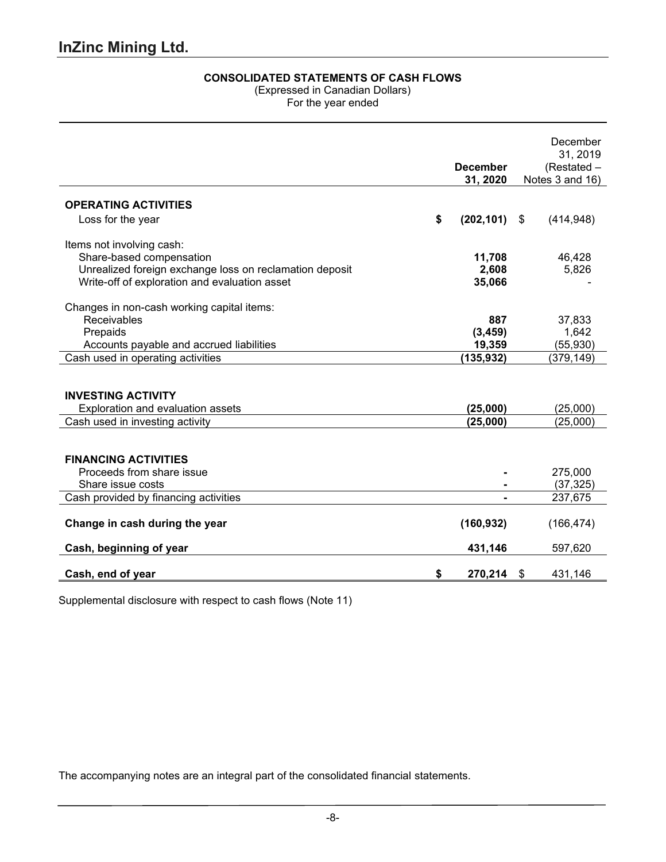# **CONSOLIDATED STATEMENTS OF CASH FLOWS**

(Expressed in Canadian Dollars)

For the year ended

|                                                         | <b>December</b><br>31, 2020 |      | December<br>31, 2019<br>(Restated –<br>Notes 3 and 16) |
|---------------------------------------------------------|-----------------------------|------|--------------------------------------------------------|
| <b>OPERATING ACTIVITIES</b>                             |                             |      |                                                        |
| Loss for the year                                       | \$<br>(202, 101)            | - \$ | (414, 948)                                             |
|                                                         |                             |      |                                                        |
| Items not involving cash:                               |                             |      |                                                        |
| Share-based compensation                                | 11,708                      |      | 46,428                                                 |
| Unrealized foreign exchange loss on reclamation deposit | 2,608                       |      | 5,826                                                  |
| Write-off of exploration and evaluation asset           | 35,066                      |      |                                                        |
| Changes in non-cash working capital items:              |                             |      |                                                        |
| Receivables                                             | 887                         |      | 37,833                                                 |
| Prepaids                                                | (3, 459)                    |      | 1,642                                                  |
| Accounts payable and accrued liabilities                | 19,359                      |      | (55, 930)                                              |
| Cash used in operating activities                       | (135, 932)                  |      | (379, 149)                                             |
|                                                         |                             |      |                                                        |
|                                                         |                             |      |                                                        |
| <b>INVESTING ACTIVITY</b>                               |                             |      |                                                        |
| Exploration and evaluation assets                       | (25,000)                    |      | (25,000)                                               |
| Cash used in investing activity                         | (25,000)                    |      | (25,000)                                               |
|                                                         |                             |      |                                                        |
| <b>FINANCING ACTIVITIES</b>                             |                             |      |                                                        |
| Proceeds from share issue                               |                             |      | 275,000                                                |
| Share issue costs                                       |                             |      | (37, 325)                                              |
| Cash provided by financing activities                   |                             |      | 237,675                                                |
|                                                         |                             |      |                                                        |
| Change in cash during the year                          | (160, 932)                  |      | (166, 474)                                             |
| Cash, beginning of year                                 | 431,146                     |      | 597,620                                                |
|                                                         |                             |      |                                                        |
| Cash, end of year                                       | \$<br>270,214               | \$   | 431,146                                                |

Supplemental disclosure with respect to cash flows (Note 11)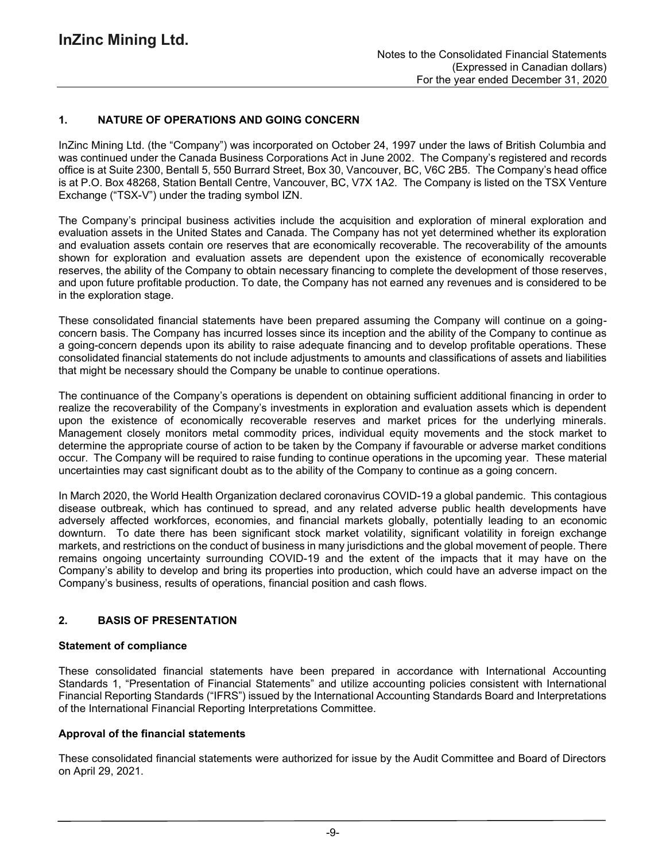## **1. NATURE OF OPERATIONS AND GOING CONCERN**

InZinc Mining Ltd. (the "Company") was incorporated on October 24, 1997 under the laws of British Columbia and was continued under the Canada Business Corporations Act in June 2002. The Company's registered and records office is at Suite 2300, Bentall 5, 550 Burrard Street, Box 30, Vancouver, BC, V6C 2B5. The Company's head office is at P.O. Box 48268, Station Bentall Centre, Vancouver, BC, V7X 1A2. The Company is listed on the TSX Venture Exchange ("TSX-V") under the trading symbol IZN.

The Company's principal business activities include the acquisition and exploration of mineral exploration and evaluation assets in the United States and Canada. The Company has not yet determined whether its exploration and evaluation assets contain ore reserves that are economically recoverable. The recoverability of the amounts shown for exploration and evaluation assets are dependent upon the existence of economically recoverable reserves, the ability of the Company to obtain necessary financing to complete the development of those reserves, and upon future profitable production. To date, the Company has not earned any revenues and is considered to be in the exploration stage.

These consolidated financial statements have been prepared assuming the Company will continue on a goingconcern basis. The Company has incurred losses since its inception and the ability of the Company to continue as a going-concern depends upon its ability to raise adequate financing and to develop profitable operations. These consolidated financial statements do not include adjustments to amounts and classifications of assets and liabilities that might be necessary should the Company be unable to continue operations.

The continuance of the Company's operations is dependent on obtaining sufficient additional financing in order to realize the recoverability of the Company's investments in exploration and evaluation assets which is dependent upon the existence of economically recoverable reserves and market prices for the underlying minerals. Management closely monitors metal commodity prices, individual equity movements and the stock market to determine the appropriate course of action to be taken by the Company if favourable or adverse market conditions occur. The Company will be required to raise funding to continue operations in the upcoming year. These material uncertainties may cast significant doubt as to the ability of the Company to continue as a going concern.

In March 2020, the World Health Organization declared coronavirus COVID-19 a global pandemic. This contagious disease outbreak, which has continued to spread, and any related adverse public health developments have adversely affected workforces, economies, and financial markets globally, potentially leading to an economic downturn. To date there has been significant stock market volatility, significant volatility in foreign exchange markets, and restrictions on the conduct of business in many jurisdictions and the global movement of people. There remains ongoing uncertainty surrounding COVID-19 and the extent of the impacts that it may have on the Company's ability to develop and bring its properties into production, which could have an adverse impact on the Company's business, results of operations, financial position and cash flows.

## **2. BASIS OF PRESENTATION**

#### **Statement of compliance**

These consolidated financial statements have been prepared in accordance with International Accounting Standards 1, "Presentation of Financial Statements" and utilize accounting policies consistent with International Financial Reporting Standards ("IFRS") issued by the International Accounting Standards Board and Interpretations of the International Financial Reporting Interpretations Committee.

#### **Approval of the financial statements**

These consolidated financial statements were authorized for issue by the Audit Committee and Board of Directors on April 29, 2021.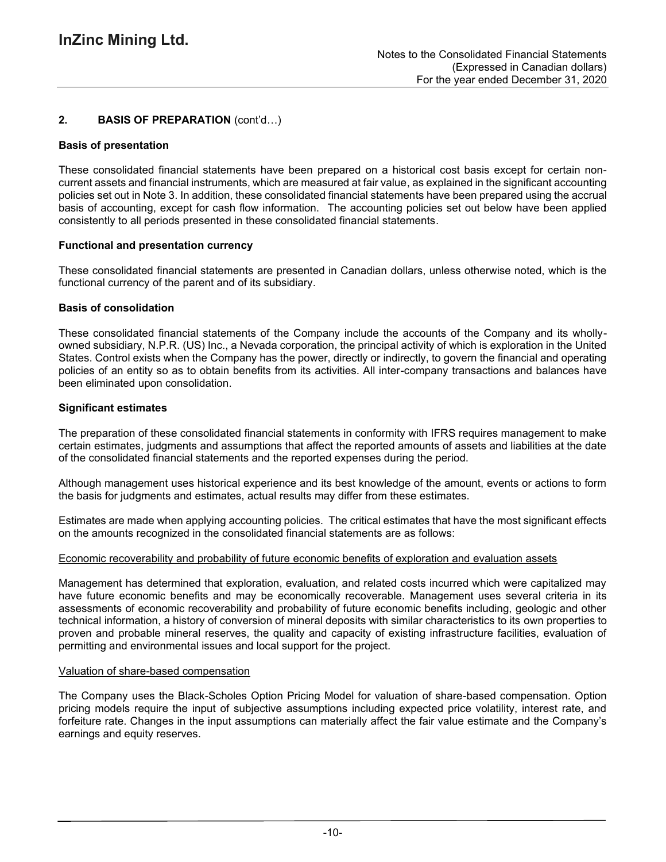## **2. BASIS OF PREPARATION** (cont'd…)

#### **Basis of presentation**

These consolidated financial statements have been prepared on a historical cost basis except for certain noncurrent assets and financial instruments, which are measured at fair value, as explained in the significant accounting policies set out in Note 3. In addition, these consolidated financial statements have been prepared using the accrual basis of accounting, except for cash flow information. The accounting policies set out below have been applied consistently to all periods presented in these consolidated financial statements.

## **Functional and presentation currency**

These consolidated financial statements are presented in Canadian dollars, unless otherwise noted, which is the functional currency of the parent and of its subsidiary.

## **Basis of consolidation**

These consolidated financial statements of the Company include the accounts of the Company and its whollyowned subsidiary, N.P.R. (US) Inc., a Nevada corporation, the principal activity of which is exploration in the United States. Control exists when the Company has the power, directly or indirectly, to govern the financial and operating policies of an entity so as to obtain benefits from its activities. All inter-company transactions and balances have been eliminated upon consolidation.

## **Significant estimates**

The preparation of these consolidated financial statements in conformity with IFRS requires management to make certain estimates, judgments and assumptions that affect the reported amounts of assets and liabilities at the date of the consolidated financial statements and the reported expenses during the period.

Although management uses historical experience and its best knowledge of the amount, events or actions to form the basis for judgments and estimates, actual results may differ from these estimates.

Estimates are made when applying accounting policies. The critical estimates that have the most significant effects on the amounts recognized in the consolidated financial statements are as follows:

#### Economic recoverability and probability of future economic benefits of exploration and evaluation assets

Management has determined that exploration, evaluation, and related costs incurred which were capitalized may have future economic benefits and may be economically recoverable. Management uses several criteria in its assessments of economic recoverability and probability of future economic benefits including, geologic and other technical information, a history of conversion of mineral deposits with similar characteristics to its own properties to proven and probable mineral reserves, the quality and capacity of existing infrastructure facilities, evaluation of permitting and environmental issues and local support for the project.

## Valuation of share-based compensation

The Company uses the Black-Scholes Option Pricing Model for valuation of share-based compensation. Option pricing models require the input of subjective assumptions including expected price volatility, interest rate, and forfeiture rate. Changes in the input assumptions can materially affect the fair value estimate and the Company's earnings and equity reserves.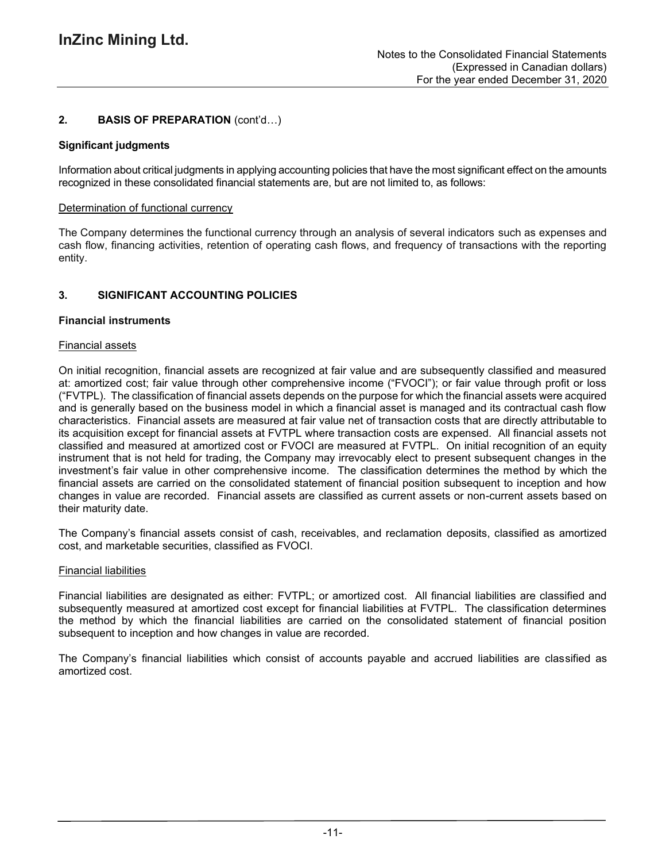## **2. BASIS OF PREPARATION** (cont'd…)

## **Significant judgments**

Information about critical judgments in applying accounting policies that have the most significant effect on the amounts recognized in these consolidated financial statements are, but are not limited to, as follows:

## Determination of functional currency

The Company determines the functional currency through an analysis of several indicators such as expenses and cash flow, financing activities, retention of operating cash flows, and frequency of transactions with the reporting entity.

## **3. SIGNIFICANT ACCOUNTING POLICIES**

## **Financial instruments**

## Financial assets

On initial recognition, financial assets are recognized at fair value and are subsequently classified and measured at: amortized cost; fair value through other comprehensive income ("FVOCI"); or fair value through profit or loss ("FVTPL). The classification of financial assets depends on the purpose for which the financial assets were acquired and is generally based on the business model in which a financial asset is managed and its contractual cash flow characteristics. Financial assets are measured at fair value net of transaction costs that are directly attributable to its acquisition except for financial assets at FVTPL where transaction costs are expensed. All financial assets not classified and measured at amortized cost or FVOCI are measured at FVTPL. On initial recognition of an equity instrument that is not held for trading, the Company may irrevocably elect to present subsequent changes in the investment's fair value in other comprehensive income. The classification determines the method by which the financial assets are carried on the consolidated statement of financial position subsequent to inception and how changes in value are recorded. Financial assets are classified as current assets or non-current assets based on their maturity date.

The Company's financial assets consist of cash, receivables, and reclamation deposits, classified as amortized cost, and marketable securities, classified as FVOCI.

#### Financial liabilities

Financial liabilities are designated as either: FVTPL; or amortized cost. All financial liabilities are classified and subsequently measured at amortized cost except for financial liabilities at FVTPL. The classification determines the method by which the financial liabilities are carried on the consolidated statement of financial position subsequent to inception and how changes in value are recorded.

The Company's financial liabilities which consist of accounts payable and accrued liabilities are classified as amortized cost.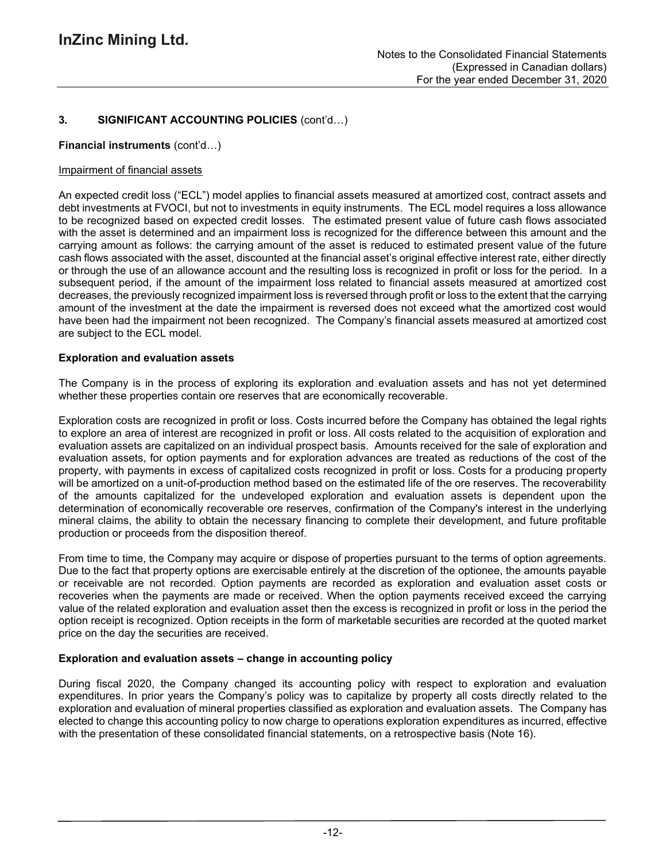**Financial instruments** (cont'd…)

#### Impairment of financial assets

An expected credit loss ("ECL") model applies to financial assets measured at amortized cost, contract assets and debt investments at FVOCI, but not to investments in equity instruments. The ECL model requires a loss allowance to be recognized based on expected credit losses. The estimated present value of future cash flows associated with the asset is determined and an impairment loss is recognized for the difference between this amount and the carrying amount as follows: the carrying amount of the asset is reduced to estimated present value of the future cash flows associated with the asset, discounted at the financial asset's original effective interest rate, either directly or through the use of an allowance account and the resulting loss is recognized in profit or loss for the period. In a subsequent period, if the amount of the impairment loss related to financial assets measured at amortized cost decreases, the previously recognized impairment loss is reversed through profit or loss to the extent that the carrying amount of the investment at the date the impairment is reversed does not exceed what the amortized cost would have been had the impairment not been recognized. The Company's financial assets measured at amortized cost are subject to the ECL model.

## **Exploration and evaluation assets**

The Company is in the process of exploring its exploration and evaluation assets and has not yet determined whether these properties contain ore reserves that are economically recoverable.

Exploration costs are recognized in profit or loss. Costs incurred before the Company has obtained the legal rights to explore an area of interest are recognized in profit or loss. All costs related to the acquisition of exploration and evaluation assets are capitalized on an individual prospect basis. Amounts received for the sale of exploration and evaluation assets, for option payments and for exploration advances are treated as reductions of the cost of the property, with payments in excess of capitalized costs recognized in profit or loss. Costs for a producing property will be amortized on a unit-of-production method based on the estimated life of the ore reserves. The recoverability of the amounts capitalized for the undeveloped exploration and evaluation assets is dependent upon the determination of economically recoverable ore reserves, confirmation of the Company's interest in the underlying mineral claims, the ability to obtain the necessary financing to complete their development, and future profitable production or proceeds from the disposition thereof.

From time to time, the Company may acquire or dispose of properties pursuant to the terms of option agreements. Due to the fact that property options are exercisable entirely at the discretion of the optionee, the amounts payable or receivable are not recorded. Option payments are recorded as exploration and evaluation asset costs or recoveries when the payments are made or received. When the option payments received exceed the carrying value of the related exploration and evaluation asset then the excess is recognized in profit or loss in the period the option receipt is recognized. Option receipts in the form of marketable securities are recorded at the quoted market price on the day the securities are received.

## **Exploration and evaluation assets – change in accounting policy**

During fiscal 2020, the Company changed its accounting policy with respect to exploration and evaluation expenditures. In prior years the Company's policy was to capitalize by property all costs directly related to the exploration and evaluation of mineral properties classified as exploration and evaluation assets. The Company has elected to change this accounting policy to now charge to operations exploration expenditures as incurred, effective with the presentation of these consolidated financial statements, on a retrospective basis (Note 16).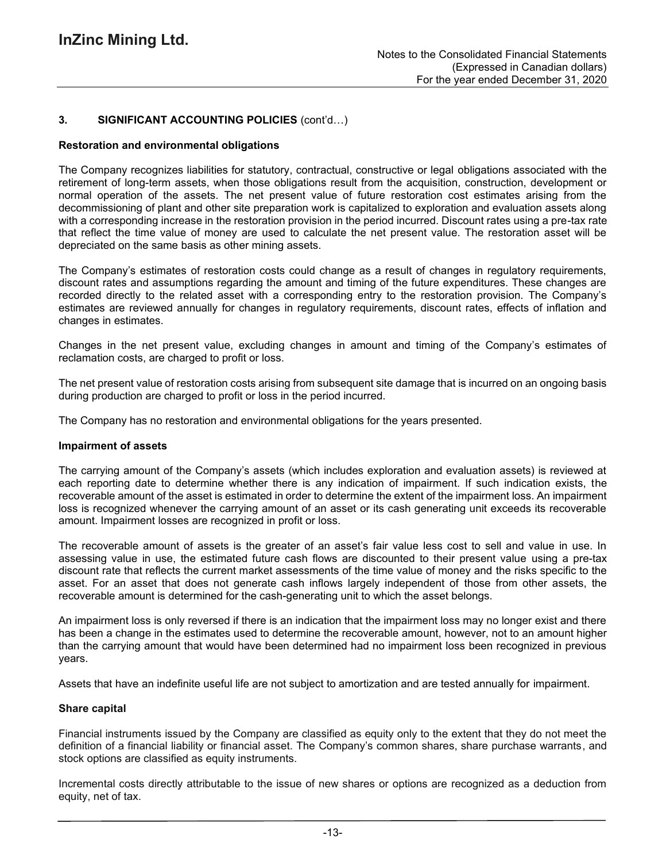#### **Restoration and environmental obligations**

The Company recognizes liabilities for statutory, contractual, constructive or legal obligations associated with the retirement of long-term assets, when those obligations result from the acquisition, construction, development or normal operation of the assets. The net present value of future restoration cost estimates arising from the decommissioning of plant and other site preparation work is capitalized to exploration and evaluation assets along with a corresponding increase in the restoration provision in the period incurred. Discount rates using a pre-tax rate that reflect the time value of money are used to calculate the net present value. The restoration asset will be depreciated on the same basis as other mining assets.

The Company's estimates of restoration costs could change as a result of changes in regulatory requirements, discount rates and assumptions regarding the amount and timing of the future expenditures. These changes are recorded directly to the related asset with a corresponding entry to the restoration provision. The Company's estimates are reviewed annually for changes in regulatory requirements, discount rates, effects of inflation and changes in estimates.

Changes in the net present value, excluding changes in amount and timing of the Company's estimates of reclamation costs, are charged to profit or loss.

The net present value of restoration costs arising from subsequent site damage that is incurred on an ongoing basis during production are charged to profit or loss in the period incurred.

The Company has no restoration and environmental obligations for the years presented.

#### **Impairment of assets**

The carrying amount of the Company's assets (which includes exploration and evaluation assets) is reviewed at each reporting date to determine whether there is any indication of impairment. If such indication exists, the recoverable amount of the asset is estimated in order to determine the extent of the impairment loss. An impairment loss is recognized whenever the carrying amount of an asset or its cash generating unit exceeds its recoverable amount. Impairment losses are recognized in profit or loss.

The recoverable amount of assets is the greater of an asset's fair value less cost to sell and value in use. In assessing value in use, the estimated future cash flows are discounted to their present value using a pre-tax discount rate that reflects the current market assessments of the time value of money and the risks specific to the asset. For an asset that does not generate cash inflows largely independent of those from other assets, the recoverable amount is determined for the cash-generating unit to which the asset belongs.

An impairment loss is only reversed if there is an indication that the impairment loss may no longer exist and there has been a change in the estimates used to determine the recoverable amount, however, not to an amount higher than the carrying amount that would have been determined had no impairment loss been recognized in previous years.

Assets that have an indefinite useful life are not subject to amortization and are tested annually for impairment.

#### **Share capital**

Financial instruments issued by the Company are classified as equity only to the extent that they do not meet the definition of a financial liability or financial asset. The Company's common shares, share purchase warrants, and stock options are classified as equity instruments.

Incremental costs directly attributable to the issue of new shares or options are recognized as a deduction from equity, net of tax.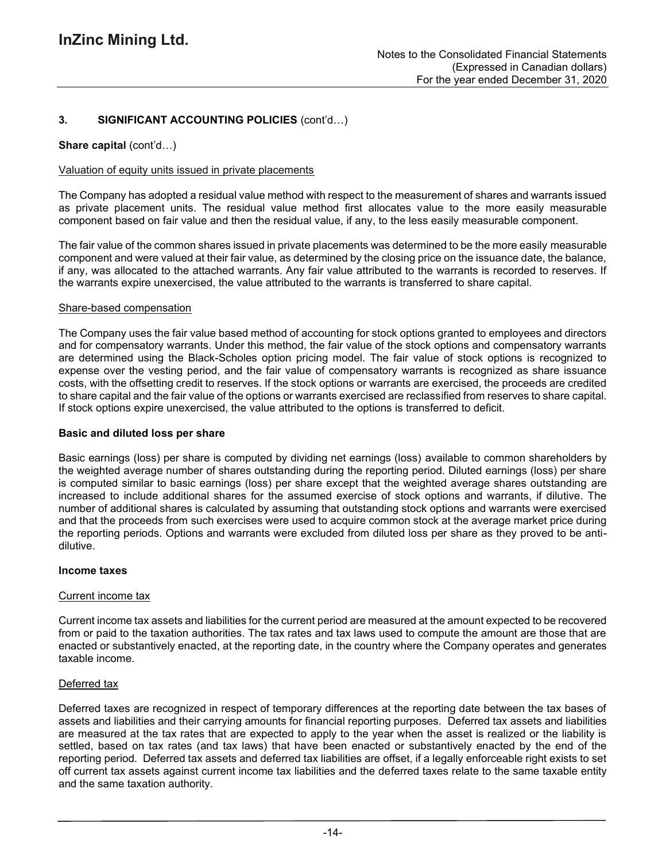**Share capital** (cont'd…)

## Valuation of equity units issued in private placements

The Company has adopted a residual value method with respect to the measurement of shares and warrants issued as private placement units. The residual value method first allocates value to the more easily measurable component based on fair value and then the residual value, if any, to the less easily measurable component.

The fair value of the common shares issued in private placements was determined to be the more easily measurable component and were valued at their fair value, as determined by the closing price on the issuance date, the balance, if any, was allocated to the attached warrants. Any fair value attributed to the warrants is recorded to reserves. If the warrants expire unexercised, the value attributed to the warrants is transferred to share capital.

#### Share-based compensation

The Company uses the fair value based method of accounting for stock options granted to employees and directors and for compensatory warrants. Under this method, the fair value of the stock options and compensatory warrants are determined using the Black-Scholes option pricing model. The fair value of stock options is recognized to expense over the vesting period, and the fair value of compensatory warrants is recognized as share issuance costs, with the offsetting credit to reserves. If the stock options or warrants are exercised, the proceeds are credited to share capital and the fair value of the options or warrants exercised are reclassified from reserves to share capital. If stock options expire unexercised, the value attributed to the options is transferred to deficit.

#### **Basic and diluted loss per share**

Basic earnings (loss) per share is computed by dividing net earnings (loss) available to common shareholders by the weighted average number of shares outstanding during the reporting period. Diluted earnings (loss) per share is computed similar to basic earnings (loss) per share except that the weighted average shares outstanding are increased to include additional shares for the assumed exercise of stock options and warrants, if dilutive. The number of additional shares is calculated by assuming that outstanding stock options and warrants were exercised and that the proceeds from such exercises were used to acquire common stock at the average market price during the reporting periods. Options and warrants were excluded from diluted loss per share as they proved to be antidilutive.

#### **Income taxes**

#### Current income tax

Current income tax assets and liabilities for the current period are measured at the amount expected to be recovered from or paid to the taxation authorities. The tax rates and tax laws used to compute the amount are those that are enacted or substantively enacted, at the reporting date, in the country where the Company operates and generates taxable income.

#### Deferred tax

Deferred taxes are recognized in respect of temporary differences at the reporting date between the tax bases of assets and liabilities and their carrying amounts for financial reporting purposes. Deferred tax assets and liabilities are measured at the tax rates that are expected to apply to the year when the asset is realized or the liability is settled, based on tax rates (and tax laws) that have been enacted or substantively enacted by the end of the reporting period. Deferred tax assets and deferred tax liabilities are offset, if a legally enforceable right exists to set off current tax assets against current income tax liabilities and the deferred taxes relate to the same taxable entity and the same taxation authority.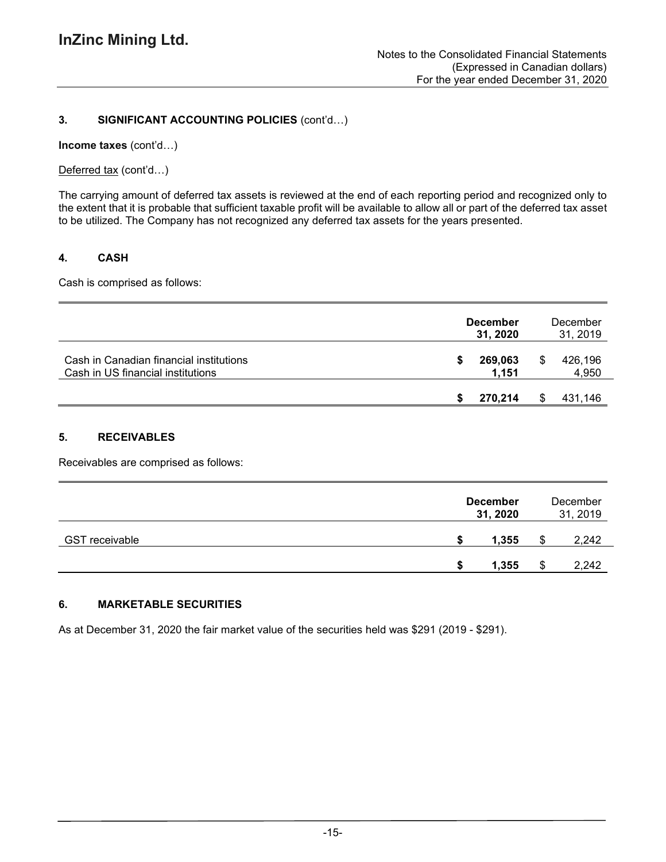**Income taxes** (cont'd…)

## Deferred tax (cont'd...)

The carrying amount of deferred tax assets is reviewed at the end of each reporting period and recognized only to the extent that it is probable that sufficient taxable profit will be available to allow all or part of the deferred tax asset to be utilized. The Company has not recognized any deferred tax assets for the years presented.

## **4. CASH**

Cash is comprised as follows:

|                                                                              |   | <b>December</b><br>31, 2020 | December<br>31, 2019 |
|------------------------------------------------------------------------------|---|-----------------------------|----------------------|
| Cash in Canadian financial institutions<br>Cash in US financial institutions | S | 269,063<br>1,151            | 426,196<br>4,950     |
|                                                                              | S | 270.214                     | 431,146              |

## **5. RECEIVABLES**

Receivables are comprised as follows:

|                       | <b>December</b><br>31, 2020 | December<br>31, 2019 |     |       |
|-----------------------|-----------------------------|----------------------|-----|-------|
| <b>GST receivable</b> |                             | 1,355                |     | 2,242 |
|                       |                             | 1,355                | -JD | 2,242 |

## **6. MARKETABLE SECURITIES**

As at December 31, 2020 the fair market value of the securities held was \$291 (2019 - \$291).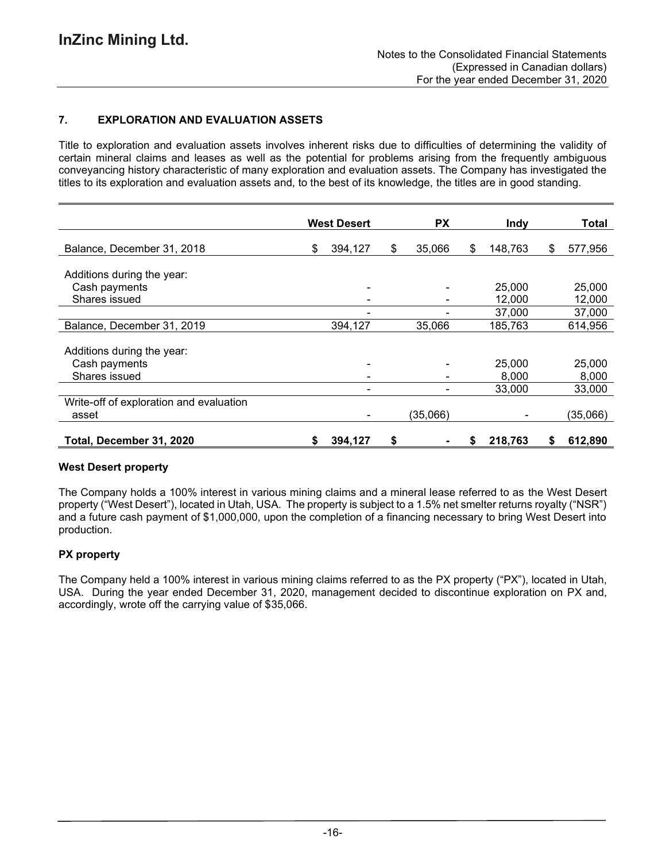## **7. EXPLORATION AND EVALUATION ASSETS**

Title to exploration and evaluation assets involves inherent risks due to difficulties of determining the validity of certain mineral claims and leases as well as the potential for problems arising from the frequently ambiguous conveyancing history characteristic of many exploration and evaluation assets. The Company has investigated the titles to its exploration and evaluation assets and, to the best of its knowledge, the titles are in good standing.

|                                         |    | <b>West Desert</b> | <b>PX</b>    |    | Indy    |    | Total    |
|-----------------------------------------|----|--------------------|--------------|----|---------|----|----------|
| Balance, December 31, 2018              | \$ | 394,127            | \$<br>35,066 | \$ | 148,763 | \$ | 577,956  |
| Additions during the year:              |    |                    |              |    |         |    |          |
| Cash payments                           |    |                    |              |    | 25,000  |    | 25,000   |
| Shares issued                           |    |                    |              |    | 12,000  |    | 12,000   |
|                                         |    |                    |              |    | 37,000  |    | 37,000   |
| Balance, December 31, 2019              |    | 394,127            | 35,066       |    | 185,763 |    | 614,956  |
| Additions during the year:              |    |                    |              |    |         |    |          |
| Cash payments                           |    |                    |              |    | 25,000  |    | 25,000   |
| Shares issued                           |    |                    |              |    | 8.000   |    | 8,000    |
|                                         |    |                    |              |    | 33,000  |    | 33,000   |
| Write-off of exploration and evaluation |    |                    |              |    |         |    |          |
| asset                                   |    |                    | (35,066)     |    |         |    | (35,066) |
| Total, December 31, 2020                | S  | 394,127            | \$           | S  | 218,763 | S  | 612,890  |

#### **West Desert property**

The Company holds a 100% interest in various mining claims and a mineral lease referred to as the West Desert property ("West Desert"), located in Utah, USA. The property is subject to a 1.5% net smelter returns royalty ("NSR") and a future cash payment of \$1,000,000, upon the completion of a financing necessary to bring West Desert into production.

## **PX property**

The Company held a 100% interest in various mining claims referred to as the PX property ("PX"), located in Utah, USA. During the year ended December 31, 2020, management decided to discontinue exploration on PX and, accordingly, wrote off the carrying value of \$35,066.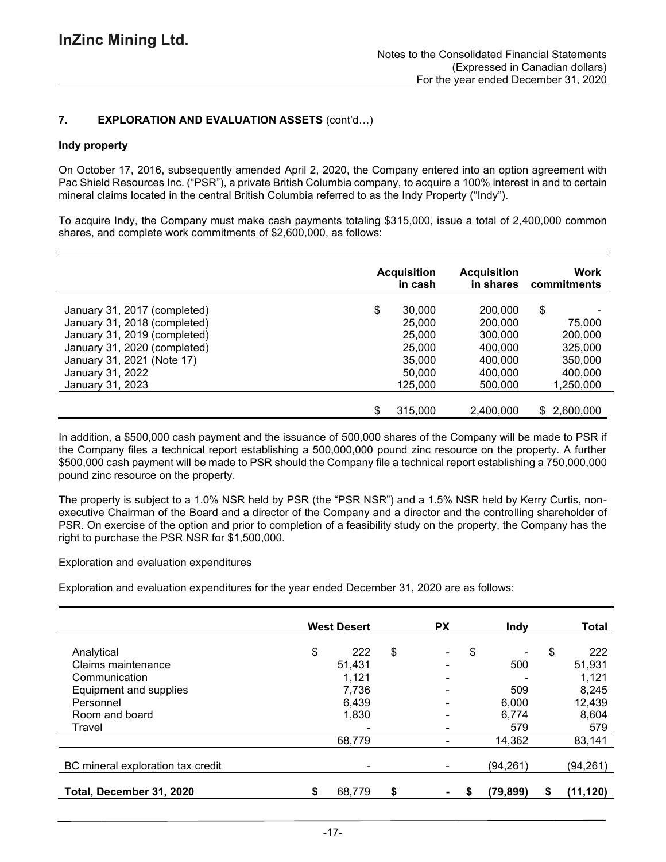## **7. EXPLORATION AND EVALUATION ASSETS** (cont'd…)

#### **Indy property**

On October 17, 2016, subsequently amended April 2, 2020, the Company entered into an option agreement with Pac Shield Resources Inc. ("PSR"), a private British Columbia company, to acquire a 100% interest in and to certain mineral claims located in the central British Columbia referred to as the Indy Property ("Indy").

To acquire Indy, the Company must make cash payments totaling \$315,000, issue a total of 2,400,000 common shares, and complete work commitments of \$2,600,000, as follows:

|                              | <b>Acquisition</b><br>in cash |         | <b>Acquisition</b><br>in shares |                |
|------------------------------|-------------------------------|---------|---------------------------------|----------------|
| January 31, 2017 (completed) | \$                            | 30,000  | 200,000                         | \$             |
| January 31, 2018 (completed) |                               | 25,000  | 200,000                         | 75,000         |
| January 31, 2019 (completed) |                               | 25,000  | 300,000                         | 200,000        |
| January 31, 2020 (completed) |                               | 25,000  | 400,000                         | 325,000        |
| January 31, 2021 (Note 17)   |                               | 35,000  | 400.000                         | 350,000        |
| January 31, 2022             |                               | 50,000  | 400.000                         | 400,000        |
| January 31, 2023             |                               | 125.000 | 500,000                         | 1,250,000      |
|                              | \$                            | 315,000 | 2,400,000                       | 2,600,000<br>S |

In addition, a \$500,000 cash payment and the issuance of 500,000 shares of the Company will be made to PSR if the Company files a technical report establishing a 500,000,000 pound zinc resource on the property. A further \$500,000 cash payment will be made to PSR should the Company file a technical report establishing a 750,000,000 pound zinc resource on the property.

The property is subject to a 1.0% NSR held by PSR (the "PSR NSR") and a 1.5% NSR held by Kerry Curtis, nonexecutive Chairman of the Board and a director of the Company and a director and the controlling shareholder of PSR. On exercise of the option and prior to completion of a feasibility study on the property, the Company has the right to purchase the PSR NSR for \$1,500,000.

#### Exploration and evaluation expenditures

Exploration and evaluation expenditures for the year ended December 31, 2020 are as follows:

|                                   | <b>West Desert</b> | <b>PX</b> | <b>Indy</b> | Total     |
|-----------------------------------|--------------------|-----------|-------------|-----------|
| Analytical                        | \$<br>222          | \$<br>-   | \$          | \$<br>222 |
| Claims maintenance                | 51,431             |           | 500         | 51,931    |
| Communication                     | 1,121              |           |             | 1,121     |
| Equipment and supplies            | 7,736              |           | 509         | 8,245     |
| Personnel                         | 6,439              |           | 6,000       | 12,439    |
| Room and board                    | 1,830              |           | 6,774       | 8,604     |
| Travel                            |                    |           | 579         | 579       |
|                                   | 68,779             |           | 14,362      | 83,141    |
| BC mineral exploration tax credit |                    | -         | (94, 261)   | (94,261)  |
| Total, December 31, 2020          | \$<br>68,779       | \$        | (79, 899)   | (11, 120) |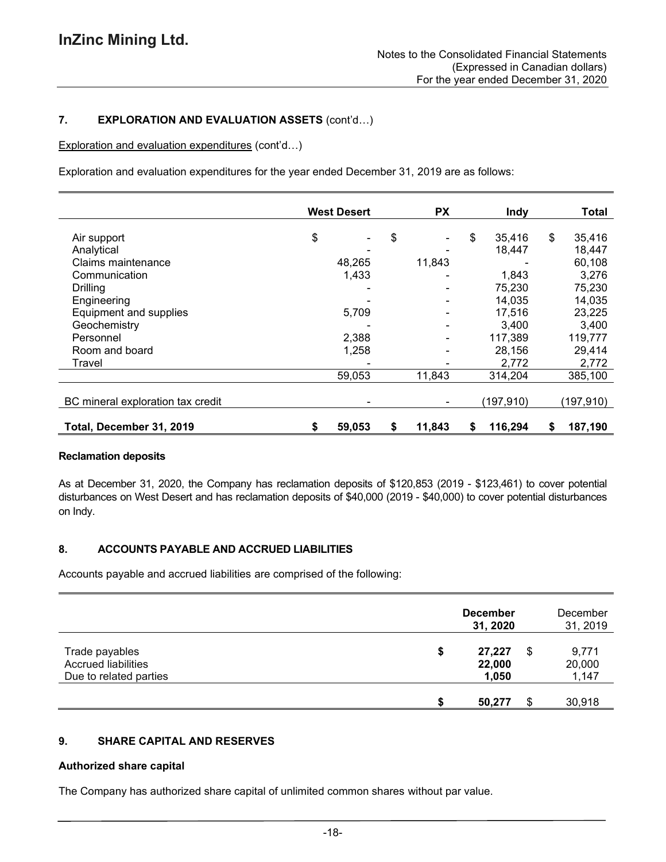## **7. EXPLORATION AND EVALUATION ASSETS** (cont'd…)

Exploration and evaluation expenditures (cont'd…)

Exploration and evaluation expenditures for the year ended December 31, 2019 are as follows:

|                                   | <b>West Desert</b> |    | <b>PX</b> |    | Indy       | Total         |
|-----------------------------------|--------------------|----|-----------|----|------------|---------------|
|                                   |                    | \$ |           |    | 35,416     | \$<br>35,416  |
| Air support                       | \$                 |    |           | \$ |            |               |
| Analytical                        |                    |    |           |    | 18,447     | 18,447        |
| Claims maintenance                | 48,265             |    | 11,843    |    |            | 60,108        |
| Communication                     | 1,433              |    |           |    | 1,843      | 3.276         |
| Drilling                          |                    |    |           |    | 75,230     | 75,230        |
| Engineering                       |                    |    |           |    | 14,035     | 14,035        |
| Equipment and supplies            | 5,709              |    |           |    | 17.516     | 23,225        |
| Geochemistry                      |                    |    |           |    | 3,400      | 3,400         |
| Personnel                         | 2,388              |    |           |    | 117,389    | 119,777       |
| Room and board                    | 1,258              |    |           |    | 28,156     | 29,414        |
| Travel                            |                    |    |           |    | 2,772      | 2,772         |
|                                   | 59,053             |    | 11,843    |    | 314,204    | 385,100       |
|                                   |                    |    |           |    |            |               |
| BC mineral exploration tax credit |                    |    |           |    | (197, 910) | (197,910)     |
| Total, December 31, 2019          | \$<br>59,053       | S  | 11,843    | S  | 116,294    | \$<br>187,190 |

#### **Reclamation deposits**

As at December 31, 2020, the Company has reclamation deposits of \$120,853 (2019 - \$123,461) to cover potential disturbances on West Desert and has reclamation deposits of \$40,000 (2019 - \$40,000) to cover potential disturbances on Indy.

## **8. ACCOUNTS PAYABLE AND ACCRUED LIABILITIES**

Accounts payable and accrued liabilities are comprised of the following:

|                                                                        | <b>December</b><br>31, 2020     |     | December<br>31, 2019     |
|------------------------------------------------------------------------|---------------------------------|-----|--------------------------|
| Trade payables<br><b>Accrued liabilities</b><br>Due to related parties | \$<br>27,227<br>22,000<br>1,050 | \$  | 9,771<br>20,000<br>1,147 |
|                                                                        | 50,277                          | \$. | 30,918                   |

## **9. SHARE CAPITAL AND RESERVES**

## **Authorized share capital**

The Company has authorized share capital of unlimited common shares without par value.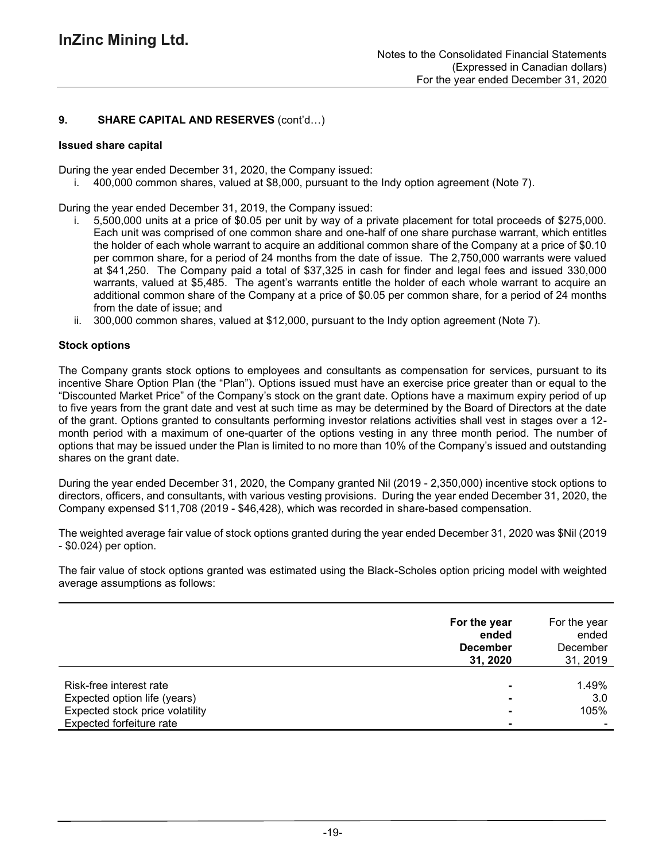## **9. SHARE CAPITAL AND RESERVES** (cont'd…)

## **Issued share capital**

During the year ended December 31, 2020, the Company issued:

i. 400,000 common shares, valued at \$8,000, pursuant to the Indy option agreement (Note 7).

During the year ended December 31, 2019, the Company issued:

- i. 5,500,000 units at a price of \$0.05 per unit by way of a private placement for total proceeds of \$275,000. Each unit was comprised of one common share and one-half of one share purchase warrant, which entitles the holder of each whole warrant to acquire an additional common share of the Company at a price of \$0.10 per common share, for a period of 24 months from the date of issue. The 2,750,000 warrants were valued at \$41,250. The Company paid a total of \$37,325 in cash for finder and legal fees and issued 330,000 warrants, valued at \$5,485. The agent's warrants entitle the holder of each whole warrant to acquire an additional common share of the Company at a price of \$0.05 per common share, for a period of 24 months from the date of issue; and
- ii. 300,000 common shares, valued at \$12,000, pursuant to the Indy option agreement (Note 7).

## **Stock options**

The Company grants stock options to employees and consultants as compensation for services, pursuant to its incentive Share Option Plan (the "Plan"). Options issued must have an exercise price greater than or equal to the "Discounted Market Price" of the Company's stock on the grant date. Options have a maximum expiry period of up to five years from the grant date and vest at such time as may be determined by the Board of Directors at the date of the grant. Options granted to consultants performing investor relations activities shall vest in stages over a 12 month period with a maximum of one-quarter of the options vesting in any three month period. The number of options that may be issued under the Plan is limited to no more than 10% of the Company's issued and outstanding shares on the grant date.

During the year ended December 31, 2020, the Company granted Nil (2019 - 2,350,000) incentive stock options to directors, officers, and consultants, with various vesting provisions. During the year ended December 31, 2020, the Company expensed \$11,708 (2019 - \$46,428), which was recorded in share-based compensation.

The weighted average fair value of stock options granted during the year ended December 31, 2020 was \$Nil (2019 - \$0.024) per option.

The fair value of stock options granted was estimated using the Black-Scholes option pricing model with weighted average assumptions as follows:

|                                                                                                                        | For the year<br>ended<br><b>December</b><br>31, 2020 | For the year<br>ended<br>December<br>31, 2019 |
|------------------------------------------------------------------------------------------------------------------------|------------------------------------------------------|-----------------------------------------------|
| Risk-free interest rate<br>Expected option life (years)<br>Expected stock price volatility<br>Expected forfeiture rate |                                                      | 1.49%<br>3.0<br>105%                          |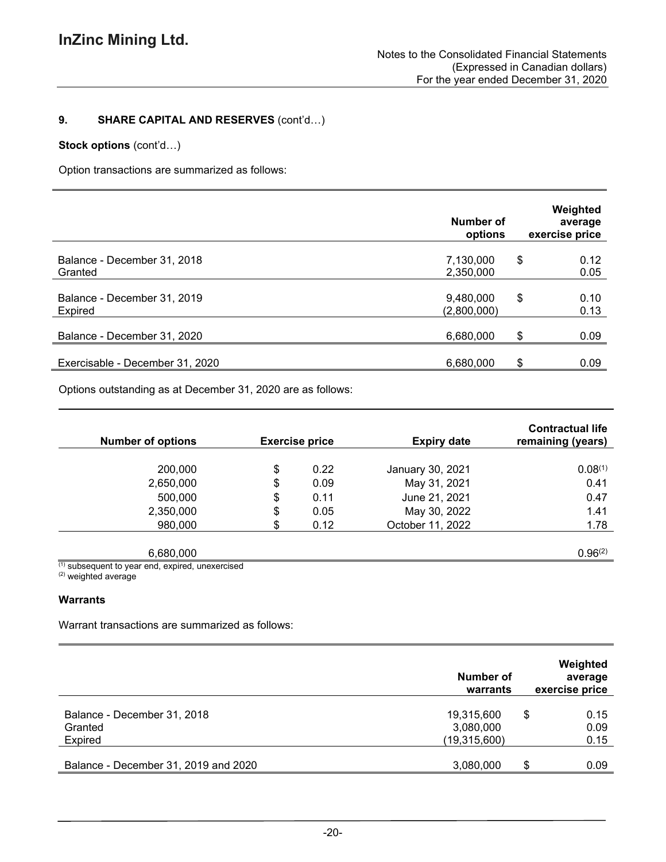## **9. SHARE CAPITAL AND RESERVES** (cont'd…)

**Stock options** (cont'd…)

Option transactions are summarized as follows:

|                                        | Number of<br>options     | Weighted<br>average<br>exercise price |
|----------------------------------------|--------------------------|---------------------------------------|
| Balance - December 31, 2018<br>Granted | 7,130,000<br>2,350,000   | \$<br>0.12<br>0.05                    |
| Balance - December 31, 2019<br>Expired | 9,480,000<br>(2,800,000) | \$<br>0.10<br>0.13                    |
| Balance - December 31, 2020            | 6,680,000                | \$<br>0.09                            |
| Exercisable - December 31, 2020        | 6,680,000                | \$<br>0.09                            |

Options outstanding as at December 31, 2020 are as follows:

| <b>Number of options</b> |    | <b>Exercise price</b> | Expiry date      | <b>Contractual life</b><br>remaining (years) |
|--------------------------|----|-----------------------|------------------|----------------------------------------------|
|                          |    |                       |                  |                                              |
| 200,000                  | \$ | 0.22                  | January 30, 2021 | 0.08(1)                                      |
| 2,650,000                | \$ | 0.09                  | May 31, 2021     | 0.41                                         |
| 500,000                  | \$ | 0.11                  | June 21, 2021    | 0.47                                         |
| 2,350,000                | \$ | 0.05                  | May 30, 2022     | 1.41                                         |
| 980,000                  | S  | 0.12                  | October 11, 2022 | 1.78                                         |
| 6,680,000                |    |                       |                  | $0.96^{(2)}$                                 |

 $<sup>(1)</sup>$  subsequent to year end, expired, unexercised</sup>

<sup>(2)</sup> weighted average

#### **Warrants**

Warrant transactions are summarized as follows:

|                                                   | Number of<br>warrants                   | Weighted<br>average<br>exercise price |
|---------------------------------------------------|-----------------------------------------|---------------------------------------|
| Balance - December 31, 2018<br>Granted<br>Expired | 19,315,600<br>3,080,000<br>(19,315,600) | \$<br>0.15<br>0.09<br>0.15            |
| Balance - December 31, 2019 and 2020              | 3,080,000                               | \$<br>0.09                            |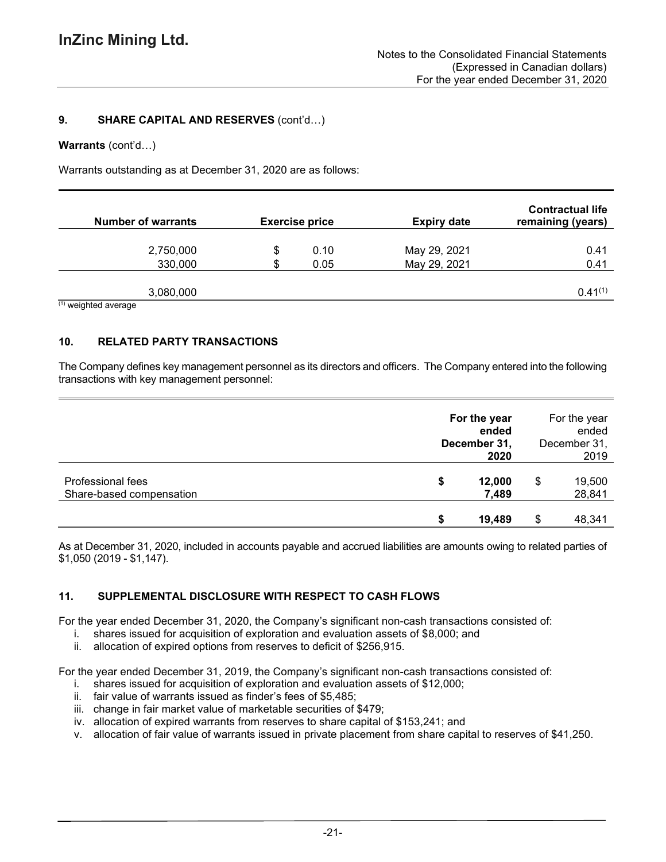## **9. SHARE CAPITAL AND RESERVES** (cont'd…)

#### **Warrants** (cont'd…)

Warrants outstanding as at December 31, 2020 are as follows:

| <b>Number of warrants</b> | <b>Exercise price</b> | <b>Expiry date</b> | <b>Contractual life</b><br>remaining (years) |
|---------------------------|-----------------------|--------------------|----------------------------------------------|
|                           |                       |                    |                                              |
| 2,750,000                 | \$<br>0.10            | May 29, 2021       | 0.41                                         |
| 330,000                   | \$<br>0.05            | May 29, 2021       | 0.41                                         |
|                           |                       |                    |                                              |
| 3,080,000                 |                       |                    | $0.41^{(1)}$                                 |
| $(1)$ $\cdots$ $\cdots$   |                       |                    |                                              |

(1) weighted average

## **10. RELATED PARTY TRANSACTIONS**

The Company defines key management personnel as its directors and officers. The Company entered into the following transactions with key management personnel:

|                                               | For the year<br>ended<br>December 31,<br>2020 |     | For the year<br>ended<br>December 31,<br>2019 |  |  |
|-----------------------------------------------|-----------------------------------------------|-----|-----------------------------------------------|--|--|
| Professional fees<br>Share-based compensation | \$<br>12,000<br>7,489                         | \$  | 19,500<br>28,841                              |  |  |
|                                               | 19,489                                        | \$. | 48,341                                        |  |  |

As at December 31, 2020, included in accounts payable and accrued liabilities are amounts owing to related parties of \$1,050 (2019 - \$1,147).

## **11. SUPPLEMENTAL DISCLOSURE WITH RESPECT TO CASH FLOWS**

For the year ended December 31, 2020, the Company's significant non-cash transactions consisted of:

- i. shares issued for acquisition of exploration and evaluation assets of \$8,000; and
- ii. allocation of expired options from reserves to deficit of \$256,915.

For the year ended December 31, 2019, the Company's significant non-cash transactions consisted of:

- i. shares issued for acquisition of exploration and evaluation assets of \$12,000;
- ii. fair value of warrants issued as finder's fees of \$5,485;
- iii. change in fair market value of marketable securities of \$479;
- iv. allocation of expired warrants from reserves to share capital of \$153,241; and
- v. allocation of fair value of warrants issued in private placement from share capital to reserves of \$41,250.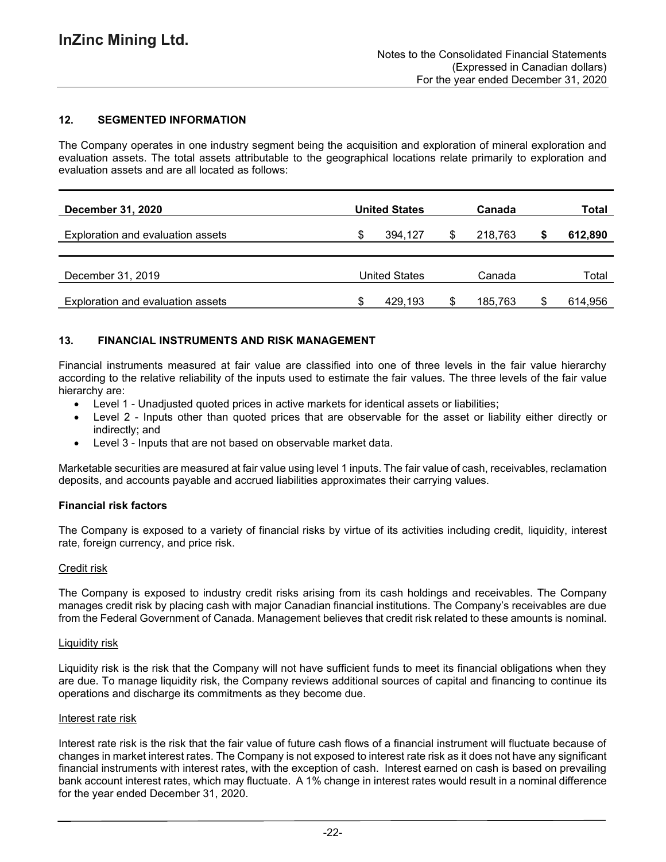## **12. SEGMENTED INFORMATION**

The Company operates in one industry segment being the acquisition and exploration of mineral exploration and evaluation assets. The total assets attributable to the geographical locations relate primarily to exploration and evaluation assets and are all located as follows:

| <b>December 31, 2020</b>          | <b>United States</b> |                      |  | Canada  | Total |         |
|-----------------------------------|----------------------|----------------------|--|---------|-------|---------|
| Exploration and evaluation assets | \$                   | 394.127              |  | 218,763 |       | 612,890 |
| December 31, 2019                 |                      | <b>United States</b> |  | Canada  |       | Total   |
| Exploration and evaluation assets |                      | 429,193              |  | 185,763 |       | 614,956 |

## **13. FINANCIAL INSTRUMENTS AND RISK MANAGEMENT**

Financial instruments measured at fair value are classified into one of three levels in the fair value hierarchy according to the relative reliability of the inputs used to estimate the fair values. The three levels of the fair value hierarchy are:

- Level 1 Unadjusted quoted prices in active markets for identical assets or liabilities;
- Level 2 Inputs other than quoted prices that are observable for the asset or liability either directly or indirectly; and
- Level 3 Inputs that are not based on observable market data.

Marketable securities are measured at fair value using level 1 inputs. The fair value of cash, receivables, reclamation deposits, and accounts payable and accrued liabilities approximates their carrying values.

#### **Financial risk factors**

The Company is exposed to a variety of financial risks by virtue of its activities including credit, liquidity, interest rate, foreign currency, and price risk.

#### Credit risk

The Company is exposed to industry credit risks arising from its cash holdings and receivables. The Company manages credit risk by placing cash with major Canadian financial institutions. The Company's receivables are due from the Federal Government of Canada. Management believes that credit risk related to these amounts is nominal.

#### Liquidity risk

Liquidity risk is the risk that the Company will not have sufficient funds to meet its financial obligations when they are due. To manage liquidity risk, the Company reviews additional sources of capital and financing to continue its operations and discharge its commitments as they become due.

#### Interest rate risk

Interest rate risk is the risk that the fair value of future cash flows of a financial instrument will fluctuate because of changes in market interest rates. The Company is not exposed to interest rate risk as it does not have any significant financial instruments with interest rates, with the exception of cash. Interest earned on cash is based on prevailing bank account interest rates, which may fluctuate. A 1% change in interest rates would result in a nominal difference for the year ended December 31, 2020.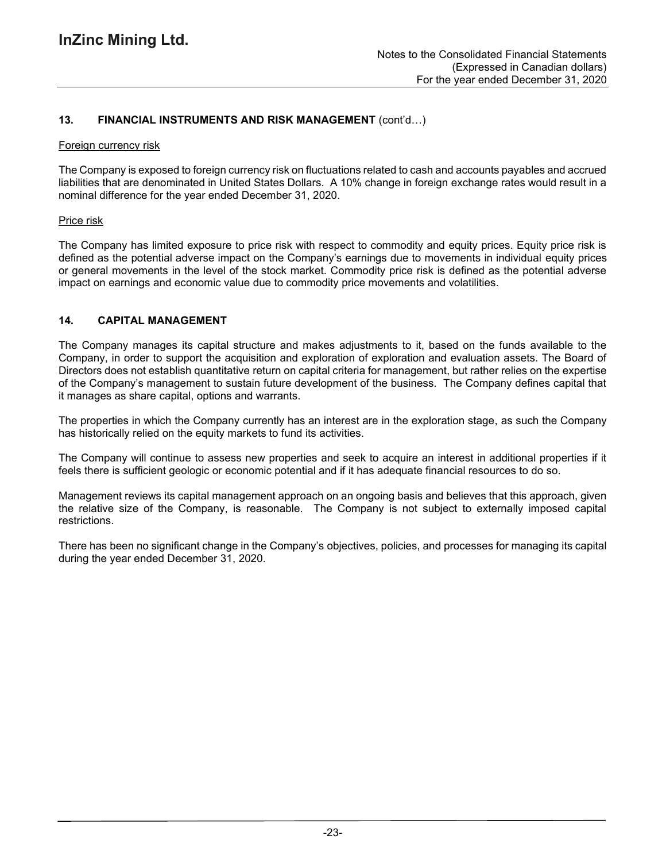## **13. FINANCIAL INSTRUMENTS AND RISK MANAGEMENT** (cont'd…)

#### Foreign currency risk

The Company is exposed to foreign currency risk on fluctuations related to cash and accounts payables and accrued liabilities that are denominated in United States Dollars. A 10% change in foreign exchange rates would result in a nominal difference for the year ended December 31, 2020.

#### Price risk

The Company has limited exposure to price risk with respect to commodity and equity prices. Equity price risk is defined as the potential adverse impact on the Company's earnings due to movements in individual equity prices or general movements in the level of the stock market. Commodity price risk is defined as the potential adverse impact on earnings and economic value due to commodity price movements and volatilities.

## **14. CAPITAL MANAGEMENT**

The Company manages its capital structure and makes adjustments to it, based on the funds available to the Company, in order to support the acquisition and exploration of exploration and evaluation assets. The Board of Directors does not establish quantitative return on capital criteria for management, but rather relies on the expertise of the Company's management to sustain future development of the business. The Company defines capital that it manages as share capital, options and warrants.

The properties in which the Company currently has an interest are in the exploration stage, as such the Company has historically relied on the equity markets to fund its activities.

The Company will continue to assess new properties and seek to acquire an interest in additional properties if it feels there is sufficient geologic or economic potential and if it has adequate financial resources to do so.

Management reviews its capital management approach on an ongoing basis and believes that this approach, given the relative size of the Company, is reasonable. The Company is not subject to externally imposed capital restrictions.

There has been no significant change in the Company's objectives, policies, and processes for managing its capital during the year ended December 31, 2020.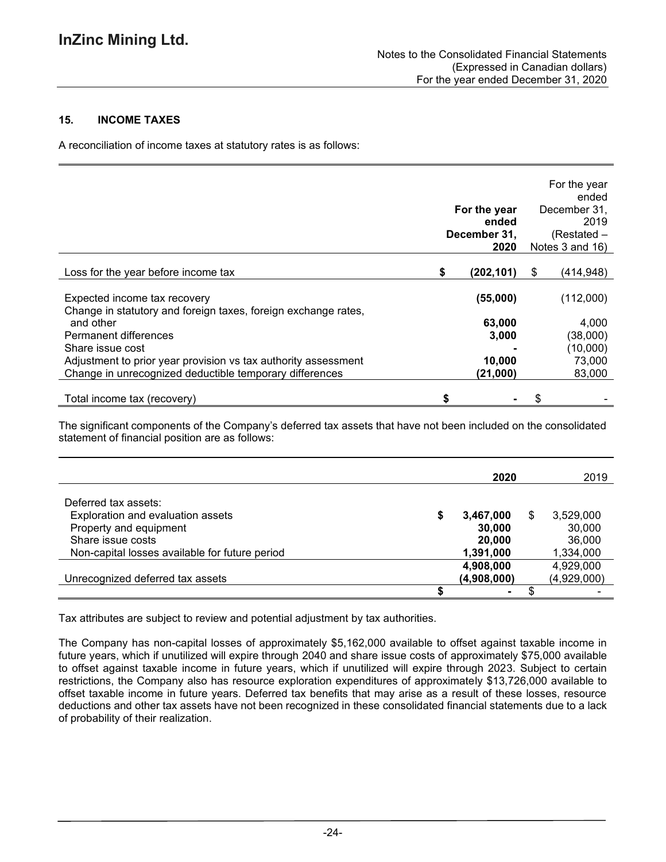## **15. INCOME TAXES**

A reconciliation of income taxes at statutory rates is as follows:

|                                                                                                | For the year<br>ended<br>December 31,<br>2020 | For the year<br>ended<br>December 31,<br>2019<br>(Restated –<br>Notes 3 and 16) |           |  |
|------------------------------------------------------------------------------------------------|-----------------------------------------------|---------------------------------------------------------------------------------|-----------|--|
| Loss for the year before income tax                                                            | \$<br>(202, 101)                              | \$                                                                              | (414,948) |  |
| Expected income tax recovery<br>Change in statutory and foreign taxes, foreign exchange rates, | (55,000)                                      |                                                                                 | (112,000) |  |
| and other                                                                                      | 63,000                                        |                                                                                 | 4,000     |  |
| Permanent differences                                                                          | 3,000                                         |                                                                                 | (38,000)  |  |
| Share issue cost                                                                               |                                               |                                                                                 | (10,000)  |  |
| Adjustment to prior year provision vs tax authority assessment                                 | 10,000                                        |                                                                                 | 73,000    |  |
| Change in unrecognized deductible temporary differences                                        | (21,000)                                      |                                                                                 | 83,000    |  |
| Total income tax (recovery)                                                                    | \$                                            |                                                                                 |           |  |

The significant components of the Company's deferred tax assets that have not been included on the consolidated statement of financial position are as follows:

|                                                | 2020           |   | 2019        |  |
|------------------------------------------------|----------------|---|-------------|--|
| Deferred tax assets:                           |                |   |             |  |
| Exploration and evaluation assets              | 3,467,000      | S | 3,529,000   |  |
| Property and equipment                         | 30,000         |   | 30,000      |  |
| Share issue costs                              | 20,000         |   | 36,000      |  |
| Non-capital losses available for future period | 1,391,000      |   | 1,334,000   |  |
|                                                | 4,908,000      |   | 4,929,000   |  |
| Unrecognized deferred tax assets               | (4,908,000)    |   | (4,929,000) |  |
|                                                | $\blacksquare$ |   |             |  |

Tax attributes are subject to review and potential adjustment by tax authorities.

The Company has non-capital losses of approximately \$5,162,000 available to offset against taxable income in future years, which if unutilized will expire through 2040 and share issue costs of approximately \$75,000 available to offset against taxable income in future years, which if unutilized will expire through 2023. Subject to certain restrictions, the Company also has resource exploration expenditures of approximately \$13,726,000 available to offset taxable income in future years. Deferred tax benefits that may arise as a result of these losses, resource deductions and other tax assets have not been recognized in these consolidated financial statements due to a lack of probability of their realization.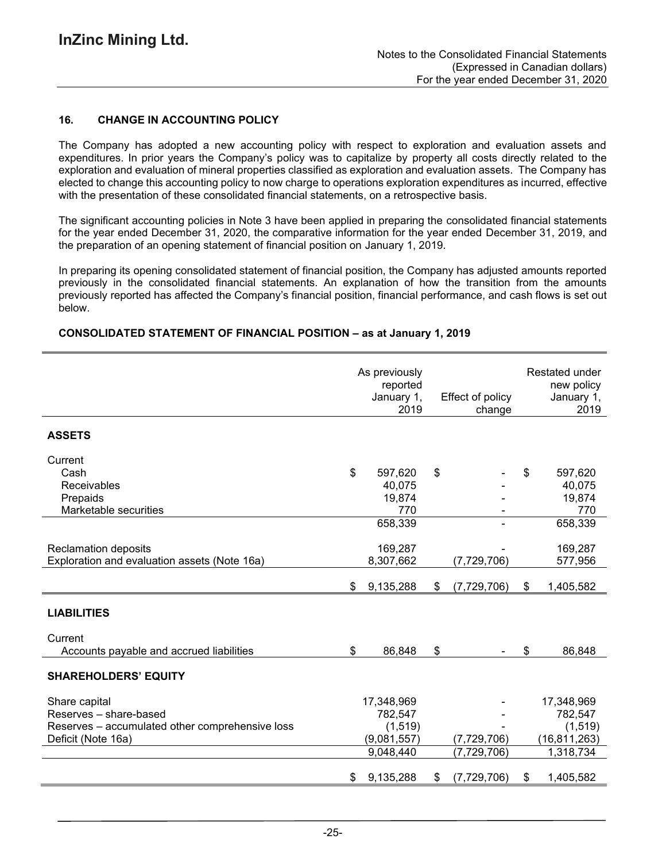## **16. CHANGE IN ACCOUNTING POLICY**

The Company has adopted a new accounting policy with respect to exploration and evaluation assets and expenditures. In prior years the Company's policy was to capitalize by property all costs directly related to the exploration and evaluation of mineral properties classified as exploration and evaluation assets. The Company has elected to change this accounting policy to now charge to operations exploration expenditures as incurred, effective with the presentation of these consolidated financial statements, on a retrospective basis.

The significant accounting policies in Note 3 have been applied in preparing the consolidated financial statements for the year ended December 31, 2020, the comparative information for the year ended December 31, 2019, and the preparation of an opening statement of financial position on January 1, 2019.

In preparing its opening consolidated statement of financial position, the Company has adjusted amounts reported previously in the consolidated financial statements. An explanation of how the transition from the amounts previously reported has affected the Company's financial position, financial performance, and cash flows is set out below.

## **CONSOLIDATED STATEMENT OF FINANCIAL POSITION – as at January 1, 2019**

|                                                 | As previously<br>reported<br>January 1,<br>2019 | Effect of policy<br>change | Restated under<br>new policy<br>January 1,<br>2019 |
|-------------------------------------------------|-------------------------------------------------|----------------------------|----------------------------------------------------|
| <b>ASSETS</b>                                   |                                                 |                            |                                                    |
| Current                                         |                                                 |                            |                                                    |
| Cash                                            | \$<br>597,620                                   | \$                         | \$<br>597,620                                      |
| Receivables                                     | 40,075                                          |                            | 40,075                                             |
| Prepaids                                        | 19,874                                          |                            | 19,874                                             |
| Marketable securities                           | 770                                             |                            | 770                                                |
|                                                 | 658,339                                         |                            | 658,339                                            |
| <b>Reclamation deposits</b>                     | 169,287                                         |                            | 169,287                                            |
| Exploration and evaluation assets (Note 16a)    | 8,307,662                                       | (7,729,706)                | 577,956                                            |
|                                                 | \$<br>9,135,288                                 | \$<br>(7,729,706)          | \$<br>1,405,582                                    |
| <b>LIABILITIES</b>                              |                                                 |                            |                                                    |
| Current                                         |                                                 |                            |                                                    |
| Accounts payable and accrued liabilities        | \$<br>86,848                                    | \$                         | \$<br>86,848                                       |
| <b>SHAREHOLDERS' EQUITY</b>                     |                                                 |                            |                                                    |
| Share capital                                   | 17,348,969                                      |                            | 17,348,969                                         |
| Reserves - share-based                          | 782,547                                         |                            | 782,547                                            |
| Reserves - accumulated other comprehensive loss | (1,519)                                         |                            | (1,519)                                            |
| Deficit (Note 16a)                              | (9,081,557)                                     | (7,729,706)                | (16, 811, 263)                                     |
|                                                 | 9,048,440                                       | (7, 729, 706)              | 1,318,734                                          |
|                                                 | \$<br>9,135,288                                 | \$<br>(7, 729, 706)        | \$<br>1,405,582                                    |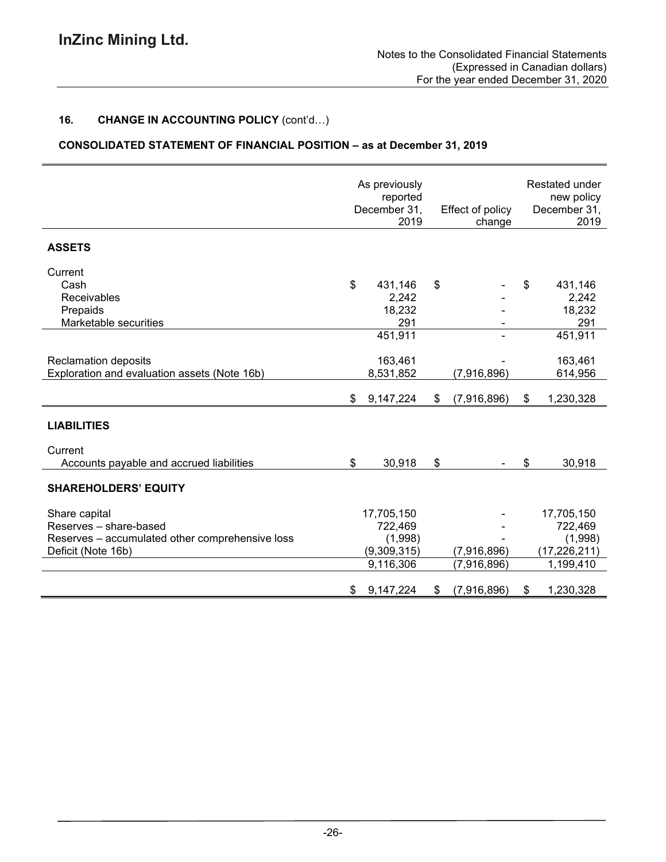# 16. CHANGE IN ACCOUNTING POLICY (cont'd...)

# **CONSOLIDATED STATEMENT OF FINANCIAL POSITION – as at December 31, 2019**

|                                                 |           | As previously<br>reported<br>December 31,<br>2019 |    | Effect of policy<br>change | Restated under<br>new policy<br>December 31,<br>2019 |
|-------------------------------------------------|-----------|---------------------------------------------------|----|----------------------------|------------------------------------------------------|
| <b>ASSETS</b>                                   |           |                                                   |    |                            |                                                      |
| Current                                         |           |                                                   |    |                            |                                                      |
| Cash                                            | \$        | 431,146                                           | \$ |                            | \$<br>431,146                                        |
| Receivables                                     |           | 2,242                                             |    |                            | 2,242                                                |
| Prepaids                                        |           | 18,232                                            |    |                            | 18,232                                               |
| Marketable securities                           |           | 291                                               |    |                            | 291                                                  |
|                                                 |           | 451,911                                           |    |                            | 451,911                                              |
| Reclamation deposits                            |           | 163,461                                           |    |                            | 163,461                                              |
| Exploration and evaluation assets (Note 16b)    | 8,531,852 |                                                   |    | (7,916,896)                | 614,956                                              |
|                                                 |           |                                                   |    |                            |                                                      |
|                                                 | \$        | 9,147,224                                         | \$ | (7,916,896)                | \$<br>1,230,328                                      |
| <b>LIABILITIES</b>                              |           |                                                   |    |                            |                                                      |
| Current                                         |           |                                                   |    |                            |                                                      |
| Accounts payable and accrued liabilities        | \$        | 30,918                                            | \$ |                            | \$<br>30,918                                         |
| <b>SHAREHOLDERS' EQUITY</b>                     |           |                                                   |    |                            |                                                      |
| Share capital                                   |           | 17,705,150                                        |    |                            | 17,705,150                                           |
| Reserves - share-based                          |           | 722,469                                           |    |                            | 722,469                                              |
| Reserves - accumulated other comprehensive loss |           | (1,998)                                           |    |                            | (1,998)                                              |
| Deficit (Note 16b)                              |           | (9,309,315)                                       |    | (7,916,896)                | (17, 226, 211)                                       |
|                                                 |           | 9,116,306                                         |    | (7,916,896)                | 1,199,410                                            |
|                                                 | \$        | 9,147,224                                         | \$ | (7,916,896)                | \$<br>1,230,328                                      |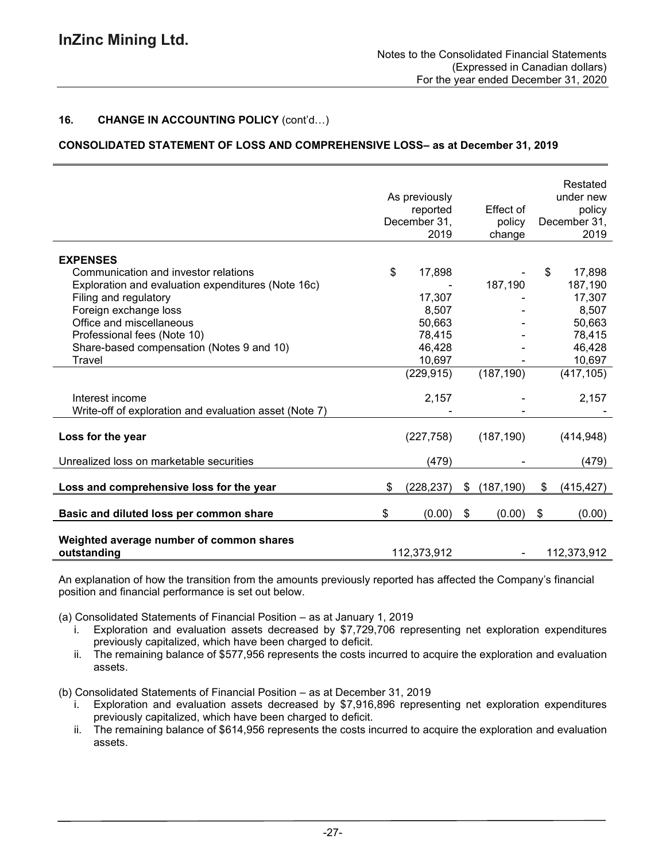## **16. CHANGE IN ACCOUNTING POLICY** (cont'd…)

## **CONSOLIDATED STATEMENT OF LOSS AND COMPREHENSIVE LOSS– as at December 31, 2019**

|                                                                           | As previously<br>reported<br>December 31,<br>2019 |             |    | Effect of<br>policy<br>change | Restated<br>under new<br>policy<br>December 31,<br>2019 |
|---------------------------------------------------------------------------|---------------------------------------------------|-------------|----|-------------------------------|---------------------------------------------------------|
| <b>EXPENSES</b>                                                           |                                                   |             |    |                               |                                                         |
| Communication and investor relations                                      | \$                                                | 17,898      |    |                               | \$<br>17,898                                            |
| Exploration and evaluation expenditures (Note 16c)                        |                                                   |             |    | 187,190                       | 187,190                                                 |
| Filing and regulatory                                                     |                                                   | 17,307      |    |                               | 17,307                                                  |
| Foreign exchange loss                                                     |                                                   | 8,507       |    |                               | 8,507                                                   |
| Office and miscellaneous                                                  |                                                   | 50,663      |    |                               | 50,663                                                  |
| Professional fees (Note 10)                                               |                                                   | 78,415      |    |                               | 78,415                                                  |
| Share-based compensation (Notes 9 and 10)                                 |                                                   | 46.428      |    |                               | 46,428                                                  |
| Travel                                                                    |                                                   | 10,697      |    |                               | 10,697                                                  |
|                                                                           |                                                   | (229, 915)  |    | (187, 190)                    | (417, 105)                                              |
| Interest income<br>Write-off of exploration and evaluation asset (Note 7) |                                                   | 2,157       |    |                               | 2,157                                                   |
| Loss for the year                                                         |                                                   | (227, 758)  |    | (187, 190)                    | (414, 948)                                              |
| Unrealized loss on marketable securities                                  |                                                   | (479)       |    |                               | (479)                                                   |
| Loss and comprehensive loss for the year                                  | \$                                                | (228,237)   | \$ | (187, 190)                    | \$<br>(415, 427)                                        |
| Basic and diluted loss per common share                                   | \$                                                | (0.00)      | \$ | (0.00)                        | \$<br>(0.00)                                            |
| Weighted average number of common shares<br>outstanding                   |                                                   | 112,373,912 |    |                               | 112,373,912                                             |

An explanation of how the transition from the amounts previously reported has affected the Company's financial position and financial performance is set out below.

(a) Consolidated Statements of Financial Position – as at January 1, 2019

- i. Exploration and evaluation assets decreased by \$7,729,706 representing net exploration expenditures previously capitalized, which have been charged to deficit.
- ii. The remaining balance of \$577,956 represents the costs incurred to acquire the exploration and evaluation assets.

(b) Consolidated Statements of Financial Position – as at December 31, 2019

- i. Exploration and evaluation assets decreased by \$7,916,896 representing net exploration expenditures previously capitalized, which have been charged to deficit.
- ii. The remaining balance of \$614,956 represents the costs incurred to acquire the exploration and evaluation assets.